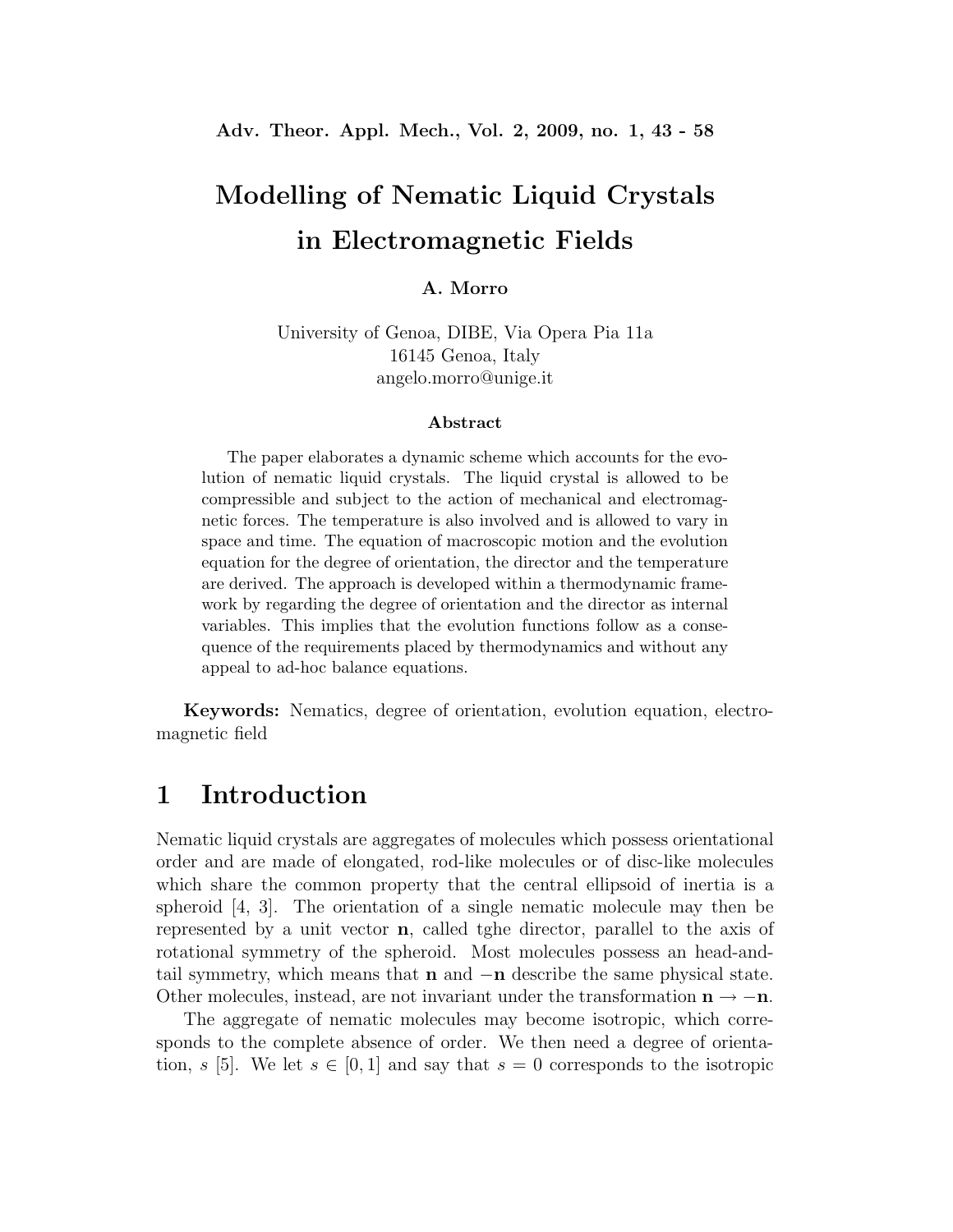# **Modelling of Nematic Liquid Crystals in Electromagnetic Fields**

#### **A. Morro**

University of Genoa, DIBE, Via Opera Pia 11a 16145 Genoa, Italy angelo.morro@unige.it

#### **Abstract**

The paper elaborates a dynamic scheme which accounts for the evolution of nematic liquid crystals. The liquid crystal is allowed to be compressible and subject to the action of mechanical and electromagnetic forces. The temperature is also involved and is allowed to vary in space and time. The equation of macroscopic motion and the evolution equation for the degree of orientation, the director and the temperature are derived. The approach is developed within a thermodynamic framework by regarding the degree of orientation and the director as internal variables. This implies that the evolution functions follow as a consequence of the requirements placed by thermodynamics and without any appeal to ad-hoc balance equations.

**Keywords:** Nematics, degree of orientation, evolution equation, electromagnetic field

## **1 Introduction**

Nematic liquid crystals are aggregates of molecules which possess orientational order and are made of elongated, rod-like molecules or of disc-like molecules which share the common property that the central ellipsoid of inertia is a spheroid [4, 3]. The orientation of a single nematic molecule may then be represented by a unit vector **n**, called tghe director, parallel to the axis of rotational symmetry of the spheroid. Most molecules possess an head-andtail symmetry, which means that **n** and −**n** describe the same physical state. Other molecules, instead, are not invariant under the transformation  $\mathbf{n} \to -\mathbf{n}$ .

The aggregate of nematic molecules may become isotropic, which corresponds to the complete absence of order. We then need a degree of orientation, s [5]. We let  $s \in [0,1]$  and say that  $s = 0$  corresponds to the isotropic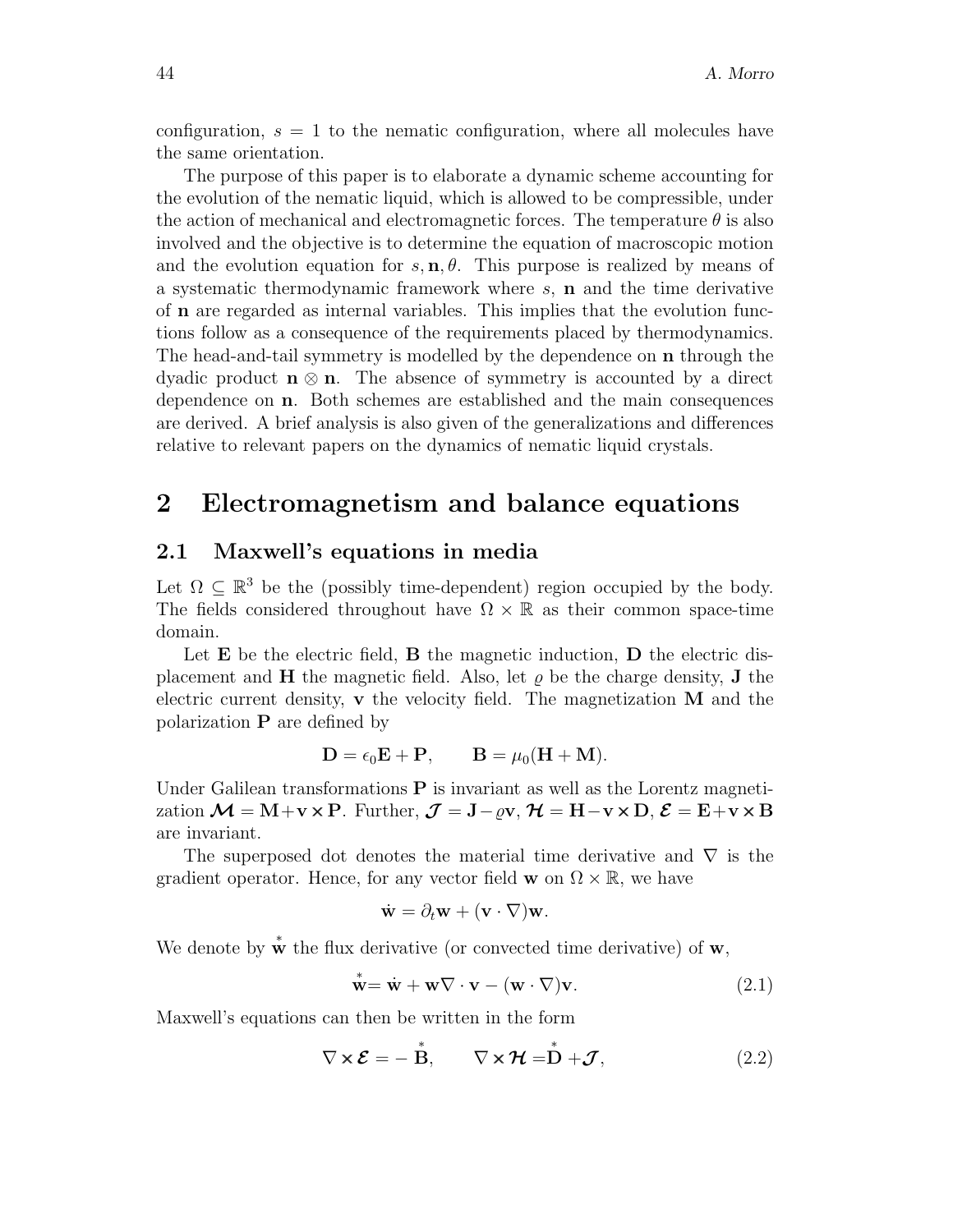configuration,  $s = 1$  to the nematic configuration, where all molecules have the same orientation.

The purpose of this paper is to elaborate a dynamic scheme accounting for the evolution of the nematic liquid, which is allowed to be compressible, under the action of mechanical and electromagnetic forces. The temperature  $\theta$  is also involved and the objective is to determine the equation of macroscopic motion and the evolution equation for  $s, n, \theta$ . This purpose is realized by means of a systematic thermodynamic framework where s, **n** and the time derivative of **n** are regarded as internal variables. This implies that the evolution functions follow as a consequence of the requirements placed by thermodynamics. The head-and-tail symmetry is modelled by the dependence on **n** through the dyadic product  $\mathbf{n} \otimes \mathbf{n}$ . The absence of symmetry is accounted by a direct dependence on **n**. Both schemes are established and the main consequences are derived. A brief analysis is also given of the generalizations and differences relative to relevant papers on the dynamics of nematic liquid crystals.

## **2 Electromagnetism and balance equations**

#### **2.1 Maxwell's equations in media**

Let  $\Omega \subseteq \mathbb{R}^3$  be the (possibly time-dependent) region occupied by the body. The fields considered throughout have  $\Omega \times \mathbb{R}$  as their common space-time domain.

Let **E** be the electric field, **B** the magnetic induction, **D** the electric displacement and **H** the magnetic field. Also, let  $\rho$  be the charge density, **J** the electric current density, **v** the velocity field. The magnetization **M** and the polarization **P** are defined by

$$
\mathbf{D} = \epsilon_0 \mathbf{E} + \mathbf{P}, \qquad \mathbf{B} = \mu_0 (\mathbf{H} + \mathbf{M}).
$$

Under Galilean transformations **P** is invariant as well as the Lorentz magnetization  $\mathcal{M} = M + v \times P$ . Further,  $\mathcal{J} = J - \rho v$ ,  $\mathcal{H} = H - v \times D$ ,  $\mathcal{E} = E + v \times B$ are invariant.

The superposed dot denotes the material time derivative and  $\nabla$  is the gradient operator. Hence, for any vector field **w** on  $\Omega \times \mathbb{R}$ , we have

$$
\dot{\mathbf{w}} = \partial_t \mathbf{w} + (\mathbf{v} \cdot \nabla) \mathbf{w}.
$$

We denote by  $\mathbf{\dot{w}}$  the flux derivative (or convected time derivative) of **w**,

$$
\dot{\mathbf{w}} = \dot{\mathbf{w}} + \mathbf{w} \nabla \cdot \mathbf{v} - (\mathbf{w} \cdot \nabla) \mathbf{v}.
$$
 (2.1)

Maxwell's equations can then be written in the form

$$
\nabla \times \mathcal{E} = -\stackrel{*}{\mathbf{B}}, \qquad \nabla \times \mathcal{H} = \stackrel{*}{\mathbf{D}} + \mathcal{J}, \tag{2.2}
$$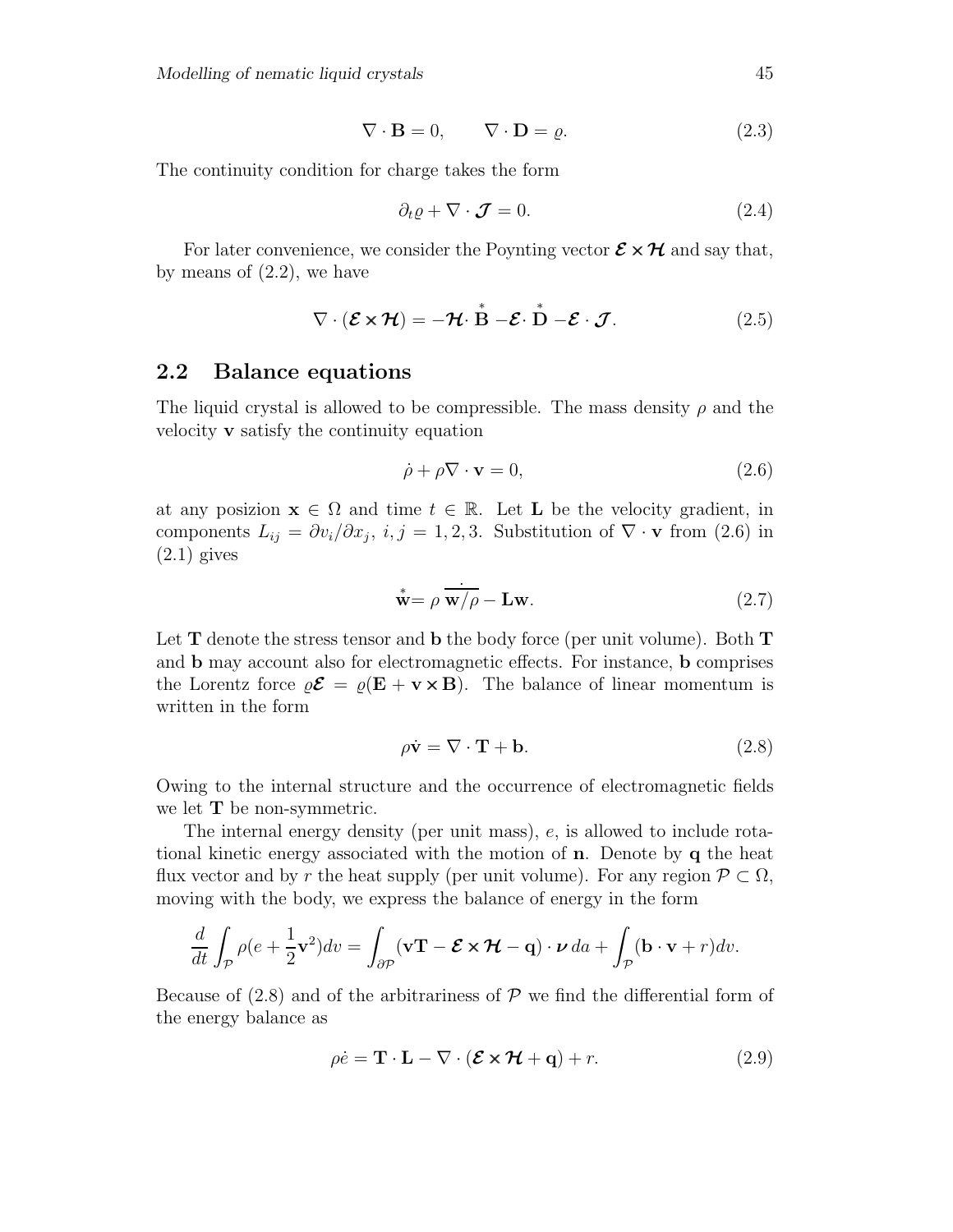$$
\nabla \cdot \mathbf{B} = 0, \qquad \nabla \cdot \mathbf{D} = \varrho. \tag{2.3}
$$

The continuity condition for charge takes the form

$$
\partial_t \varrho + \nabla \cdot \mathcal{J} = 0. \tag{2.4}
$$

For later convenience, we consider the Poynting vector  $\mathcal{E} \times \mathcal{H}$  and say that, by means of  $(2.2)$ , we have

$$
\nabla \cdot (\mathcal{E} \times \mathcal{H}) = -\mathcal{H} \cdot \overset{*}{\mathbf{B}} - \mathcal{E} \cdot \overset{*}{\mathbf{D}} - \mathcal{E} \cdot \mathcal{J}.
$$
 (2.5)

#### **2.2 Balance equations**

The liquid crystal is allowed to be compressible. The mass density  $\rho$  and the velocity **v** satisfy the continuity equation

$$
\dot{\rho} + \rho \nabla \cdot \mathbf{v} = 0,\tag{2.6}
$$

at any posizion  $\mathbf{x} \in \Omega$  and time  $t \in \mathbb{R}$ . Let **L** be the velocity gradient, in components  $L_{ij} = \frac{\partial v_i}{\partial x_j}$ ,  $i, j = 1, 2, 3$ . Substitution of  $\nabla \cdot \mathbf{v}$  from (2.6) in  $(2.1)$  gives

$$
\stackrel{*}{\mathbf{w}} = \rho \stackrel{\cdot}{\mathbf{w}/\rho} - \mathbf{L}\mathbf{w}.\tag{2.7}
$$

Let **T** denote the stress tensor and **b** the body force (per unit volume). Both **T** and **b** may account also for electromagnetic effects. For instance, **b** comprises the Lorentz force  $\rho \mathcal{E} = \rho (E + v \times B)$ . The balance of linear momentum is written in the form

$$
\rho \dot{\mathbf{v}} = \nabla \cdot \mathbf{T} + \mathbf{b}.\tag{2.8}
$$

Owing to the internal structure and the occurrence of electromagnetic fields we let **T** be non-symmetric.

The internal energy density (per unit mass), e, is allowed to include rotational kinetic energy associated with the motion of **n**. Denote by **q** the heat flux vector and by r the heat supply (per unit volume). For any region  $\mathcal{P} \subset \Omega$ , moving with the body, we express the balance of energy in the form

$$
\frac{d}{dt} \int_{\mathcal{P}} \rho(e + \frac{1}{2} \mathbf{v}^2) dv = \int_{\partial \mathcal{P}} (\mathbf{v} \mathbf{T} - \mathcal{E} \times \mathcal{H} - \mathbf{q}) \cdot \mathcal{V} da + \int_{\mathcal{P}} (\mathbf{b} \cdot \mathbf{v} + r) dv.
$$

Because of  $(2.8)$  and of the arbitrariness of  $P$  we find the differential form of the energy balance as

$$
\rho \dot{e} = \mathbf{T} \cdot \mathbf{L} - \nabla \cdot (\mathcal{E} \times \mathcal{H} + \mathbf{q}) + r. \tag{2.9}
$$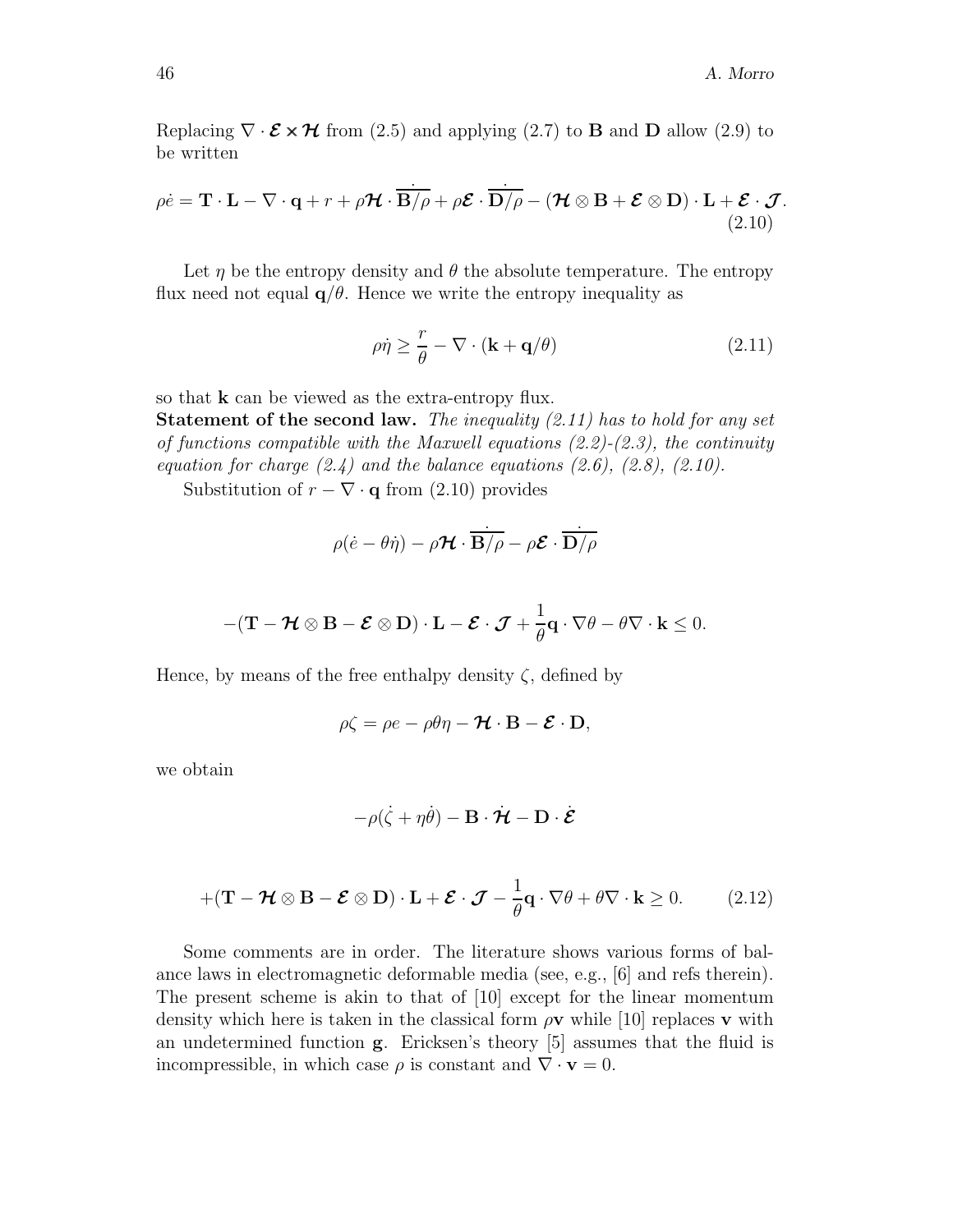Replacing  $\nabla \cdot \mathcal{E} \times \mathcal{H}$  from (2.5) and applying (2.7) to **B** and **D** allow (2.9) to be written

$$
\rho \dot{e} = \mathbf{T} \cdot \mathbf{L} - \nabla \cdot \mathbf{q} + r + \rho \mathcal{H} \cdot \overline{\mathbf{B}/\rho} + \rho \mathcal{E} \cdot \overline{\mathbf{D}/\rho} - (\mathcal{H} \otimes \mathbf{B} + \mathcal{E} \otimes \mathbf{D}) \cdot \mathbf{L} + \mathcal{E} \cdot \mathcal{J}.
$$
\n(2.10)

Let  $\eta$  be the entropy density and  $\theta$  the absolute temperature. The entropy flux need not equal  $q/\theta$ . Hence we write the entropy inequality as

$$
\rho \dot{\eta} \ge \frac{r}{\theta} - \nabla \cdot (\mathbf{k} + \mathbf{q}/\theta) \tag{2.11}
$$

so that **k** can be viewed as the extra-entropy flux.

**Statement of the second law.** *The inequality (2.11) has to hold for any set of functions compatible with the Maxwell equations (2.2)-(2.3), the continuity equation for charge (2.4) and the balance equations (2.6), (2.8), (2.10).*

Substitution of  $r - \nabla \cdot \mathbf{q}$  from (2.10) provides

$$
\rho(\dot{e}-\theta\dot{\eta})-\rho \boldsymbol{\mathcal{H}}\cdot\overline{\mathbf{B}/\rho}-\rho \boldsymbol{\mathcal{E}}\cdot\overline{\mathbf{D}/\rho}
$$

$$
-(\mathbf{T}-\boldsymbol{\mathcal{H}}\otimes \mathbf{B}-\boldsymbol{\mathcal{E}}\otimes \mathbf{D})\cdot \mathbf{L}-\boldsymbol{\mathcal{E}}\cdot \boldsymbol{\mathcal{J}}+\frac{1}{\theta}\mathbf{q}\cdot \nabla \theta-\theta \nabla \cdot \mathbf{k}\leq 0.
$$

Hence, by means of the free enthalpy density  $\zeta$ , defined by

$$
\rho \zeta = \rho e - \rho \theta \eta - \mathcal{H} \cdot \mathbf{B} - \mathcal{E} \cdot \mathbf{D},
$$

we obtain

$$
-\rho(\dot{\zeta} + \eta\dot{\theta}) - \mathbf{B} \cdot \dot{\mathcal{H}} - \mathbf{D} \cdot \dot{\mathcal{E}}
$$

$$
+(\mathbf{T}-\mathcal{H}\otimes \mathbf{B}-\mathcal{E}\otimes \mathbf{D})\cdot\mathbf{L}+\mathcal{E}\cdot\mathcal{J}-\frac{1}{\theta}\mathbf{q}\cdot\nabla\theta+\theta\nabla\cdot\mathbf{k}\geq 0. \qquad (2.12)
$$

Some comments are in order. The literature shows various forms of balance laws in electromagnetic deformable media (see, e.g., [6] and refs therein). The present scheme is akin to that of [10] except for the linear momentum density which here is taken in the classical form ρ**v** while [10] replaces **v** with an undetermined function **g**. Ericksen's theory [5] assumes that the fluid is incompressible, in which case  $\rho$  is constant and  $\nabla \cdot \mathbf{v} = 0$ .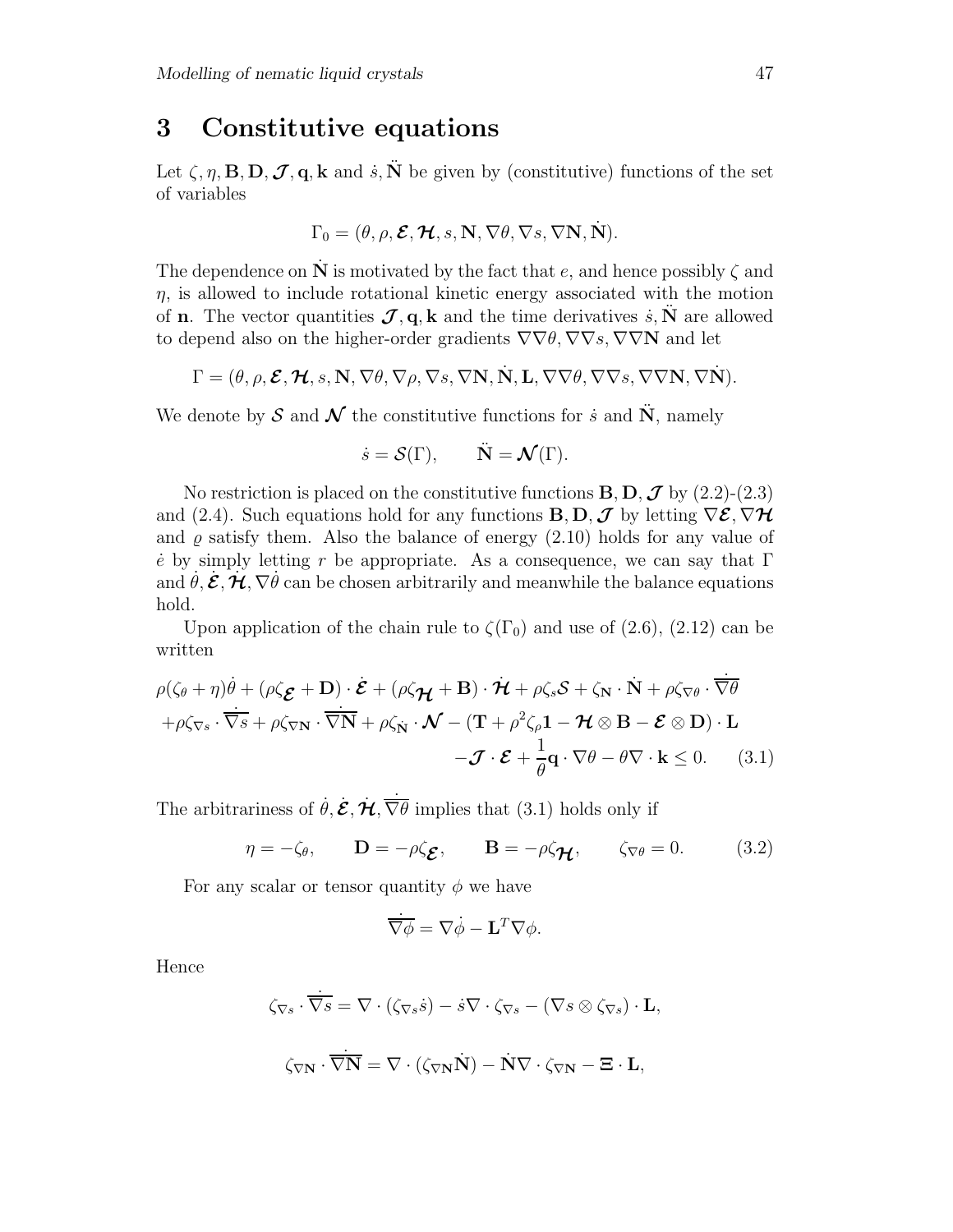## **3 Constitutive equations**

Let  $\zeta$ ,  $\eta$ , **B**, **D**,  $\mathcal{J}$ , **q**, **k** and  $\dot{s}$ ,  $\ddot{\textbf{N}}$  be given by (constitutive) functions of the set of variables

$$
\Gamma_0 = (\theta, \rho, \mathcal{E}, \mathcal{H}, s, \mathbf{N}, \nabla \theta, \nabla s, \nabla \mathbf{N}, \dot{\mathbf{N}}).
$$

The dependence on  $\tilde{N}$  is motivated by the fact that e, and hence possibly  $\zeta$  and  $\eta$ , is allowed to include rotational kinetic energy associated with the motion of **n**. The vector quantities  $\mathcal{J}, \mathbf{q}, \mathbf{k}$  and the time derivatives  $\dot{s}, \mathbf{N}$  are allowed to depend also on the higher-order gradients  $\nabla \nabla \theta$ ,  $\nabla \nabla s$ ,  $\nabla \nabla \mathbf{N}$  and let

$$
\Gamma = (\theta, \rho, \mathcal{E}, \mathcal{H}, s, \mathbf{N}, \nabla \theta, \nabla \rho, \nabla s, \nabla \mathbf{N}, \dot{\mathbf{N}}, \mathbf{L}, \nabla \nabla \theta, \nabla \nabla s, \nabla \nabla \mathbf{N}, \nabla \dot{\mathbf{N}}).
$$

We denote by  $S$  and  $N$  the constitutive functions for  $\dot{s}$  and  $\ddot{N}$ , namely

$$
\dot{s} = \mathcal{S}(\Gamma), \qquad \ddot{\mathbf{N}} = \mathcal{N}(\Gamma).
$$

No restriction is placed on the constitutive functions  $\mathbf{B}, \mathbf{D}, \mathbf{J}$  by (2.2)-(2.3) and (2.4). Such equations hold for any functions **B**, **D**,  $\mathcal{J}$  by letting  $\nabla \mathcal{E}, \nabla \mathcal{H}$ and  $\rho$  satisfy them. Also the balance of energy (2.10) holds for any value of e<sup> $\dot{e}$ </sup> by simply letting r be appropriate. As a consequence, we can say that  $\Gamma$ and  $\dot{\theta}$ ,  $\dot{\mathcal{E}}$ ,  $\dot{\mathcal{H}}$ ,  $\nabla \dot{\theta}$  can be chosen arbitrarily and meanwhile the balance equations hold.

Upon application of the chain rule to  $\zeta(\Gamma_0)$  and use of (2.6), (2.12) can be written

$$
\rho(\zeta_{\theta} + \eta)\dot{\theta} + (\rho\zeta_{\mathcal{E}} + \mathbf{D}) \cdot \dot{\mathcal{E}} + (\rho\zeta_{\mathcal{H}} + \mathbf{B}) \cdot \dot{\mathcal{H}} + \rho\zeta_{s}\mathcal{S} + \zeta_{N} \cdot \dot{N} + \rho\zeta_{\nabla\theta} \cdot \overline{\nabla\theta} \n+ \rho\zeta_{\nabla s} \cdot \overline{\nabla s} + \rho\zeta_{\nabla N} \cdot \overline{\nabla N} + \rho\zeta_{N} \cdot \mathcal{N} - (\mathbf{T} + \rho^{2}\zeta_{\rho}\mathbf{1} - \mathcal{H} \otimes \mathbf{B} - \mathcal{E} \otimes \mathbf{D}) \cdot \mathbf{L} \n- \mathcal{J} \cdot \mathcal{E} + \frac{1}{\theta}\mathbf{q} \cdot \nabla\theta - \theta\nabla \cdot \mathbf{k} \leq 0.
$$
\n(3.1)

The arbitrariness of  $\dot{\theta}$ ,  $\dot{\mathcal{E}}$ ,  $\dot{\mathcal{H}}$ ,  $\dot{\overline{\nabla}\theta}$  implies that (3.1) holds only if

$$
\eta = -\zeta_{\theta}, \qquad \mathbf{D} = -\rho \zeta_{\mathbf{E}}, \qquad \mathbf{B} = -\rho \zeta_{\mathbf{H}}, \qquad \zeta_{\nabla \theta} = 0. \tag{3.2}
$$

For any scalar or tensor quantity  $\phi$  we have

$$
\dot{\overline{\nabla}\phi} = \nabla \dot{\phi} - \mathbf{L}^T \nabla \phi.
$$

Hence

$$
\zeta_{\nabla s} \cdot \overline{\nabla s} = \nabla \cdot (\zeta_{\nabla s} \dot{s}) - \dot{s} \nabla \cdot \zeta_{\nabla s} - (\nabla s \otimes \zeta_{\nabla s}) \cdot \mathbf{L},
$$
  

$$
\zeta_{\nabla \mathbf{N}} \cdot \overline{\nabla \mathbf{N}} = \nabla \cdot (\zeta_{\nabla \mathbf{N}} \dot{\mathbf{N}}) - \dot{\mathbf{N}} \nabla \cdot \zeta_{\nabla \mathbf{N}} - \boldsymbol{\Xi} \cdot \mathbf{L},
$$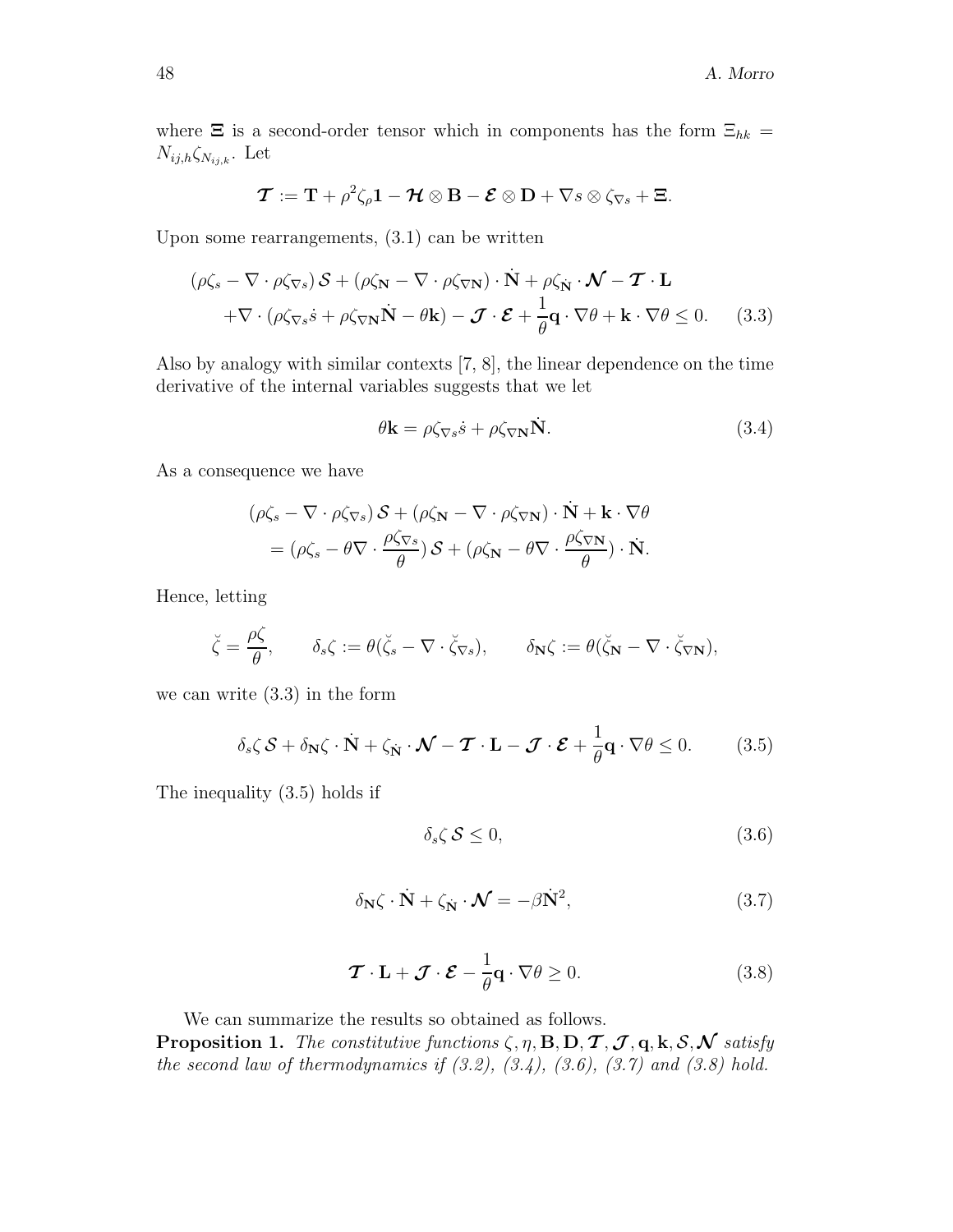where  $\Xi$  is a second-order tensor which in components has the form  $\Xi_{hk}$  =  $N_{ij,h} \zeta_{N_{ij,k}}$ . Let

$$
\boldsymbol{\mathcal{T}} := \mathbf{T} + \rho^2 \zeta_{\rho} \mathbf{1} - \boldsymbol{\mathcal{H}} \otimes \mathbf{B} - \boldsymbol{\mathcal{E}} \otimes \mathbf{D} + \nabla s \otimes \zeta_{\nabla s} + \boldsymbol{\Xi}.
$$

Upon some rearrangements, (3.1) can be written

$$
(\rho \zeta_s - \nabla \cdot \rho \zeta_{\nabla s}) \mathcal{S} + (\rho \zeta_{\mathbf{N}} - \nabla \cdot \rho \zeta_{\nabla \mathbf{N}}) \cdot \dot{\mathbf{N}} + \rho \zeta_{\mathbf{N}} \cdot \mathcal{N} - \mathcal{T} \cdot \mathbf{L} + \nabla \cdot (\rho \zeta_{\nabla s} \dot{s} + \rho \zeta_{\nabla \mathbf{N}} \dot{\mathbf{N}} - \theta \mathbf{k}) - \mathcal{J} \cdot \mathcal{E} + \frac{1}{\theta} \mathbf{q} \cdot \nabla \theta + \mathbf{k} \cdot \nabla \theta \le 0.
$$
 (3.3)

Also by analogy with similar contexts [7, 8], the linear dependence on the time derivative of the internal variables suggests that we let

$$
\theta \mathbf{k} = \rho \zeta_{\nabla s} s + \rho \zeta_{\nabla \mathbf{N}} \dot{\mathbf{N}}.
$$
 (3.4)

As a consequence we have

$$
(\rho \zeta_s - \nabla \cdot \rho \zeta_{\nabla s}) \mathcal{S} + (\rho \zeta_{\mathbf{N}} - \nabla \cdot \rho \zeta_{\nabla \mathbf{N}}) \cdot \dot{\mathbf{N}} + \mathbf{k} \cdot \nabla \theta
$$
  
=  $(\rho \zeta_s - \theta \nabla \cdot \frac{\rho \zeta_{\nabla s}}{\theta}) \mathcal{S} + (\rho \zeta_{\mathbf{N}} - \theta \nabla \cdot \frac{\rho \zeta_{\nabla \mathbf{N}}}{\theta}) \cdot \dot{\mathbf{N}}.$ 

Hence, letting

$$
\breve{\zeta} = \frac{\rho \zeta}{\theta}, \qquad \delta_s \zeta := \theta(\breve{\zeta}_s - \nabla \cdot \breve{\zeta}_{\nabla s}), \qquad \delta_{\mathbf{N}} \zeta := \theta(\breve{\zeta}_{\mathbf{N}} - \nabla \cdot \breve{\zeta}_{\nabla \mathbf{N}}),
$$

we can write (3.3) in the form

$$
\delta_s \zeta \, \mathcal{S} + \delta_{\mathbf{N}} \zeta \cdot \dot{\mathbf{N}} + \zeta_{\dot{\mathbf{N}}} \cdot \mathcal{N} - \mathcal{T} \cdot \mathbf{L} - \mathcal{J} \cdot \mathcal{E} + \frac{1}{\theta} \mathbf{q} \cdot \nabla \theta \le 0. \tag{3.5}
$$

The inequality (3.5) holds if

$$
\delta_s \zeta \mathcal{S} \le 0,\tag{3.6}
$$

$$
\delta_{\mathbf{N}}\zeta \cdot \dot{\mathbf{N}} + \zeta_{\mathbf{N}} \cdot \mathbf{N} = -\beta \dot{\mathbf{N}}^2,\tag{3.7}
$$

$$
\boldsymbol{\mathcal{T}} \cdot \mathbf{L} + \boldsymbol{\mathcal{J}} \cdot \boldsymbol{\mathcal{E}} - \frac{1}{\theta} \mathbf{q} \cdot \nabla \theta \ge 0.
$$
 (3.8)

We can summarize the results so obtained as follows. **Proposition 1.** *The constitutive functions*  $\zeta$ ,  $\eta$ ,  $\mathbf{B}$ ,  $\mathbf{D}$ ,  $\mathbf{T}$ ,  $\mathbf{J}$ ,  $\mathbf{q}$ ,  $\mathbf{k}$ ,  $\mathcal{S}$ ,  $\mathbf{\mathcal{N}}$  *satisfy the second law of thermodynamics if (3.2), (3.4), (3.6), (3.7) and (3.8) hold.*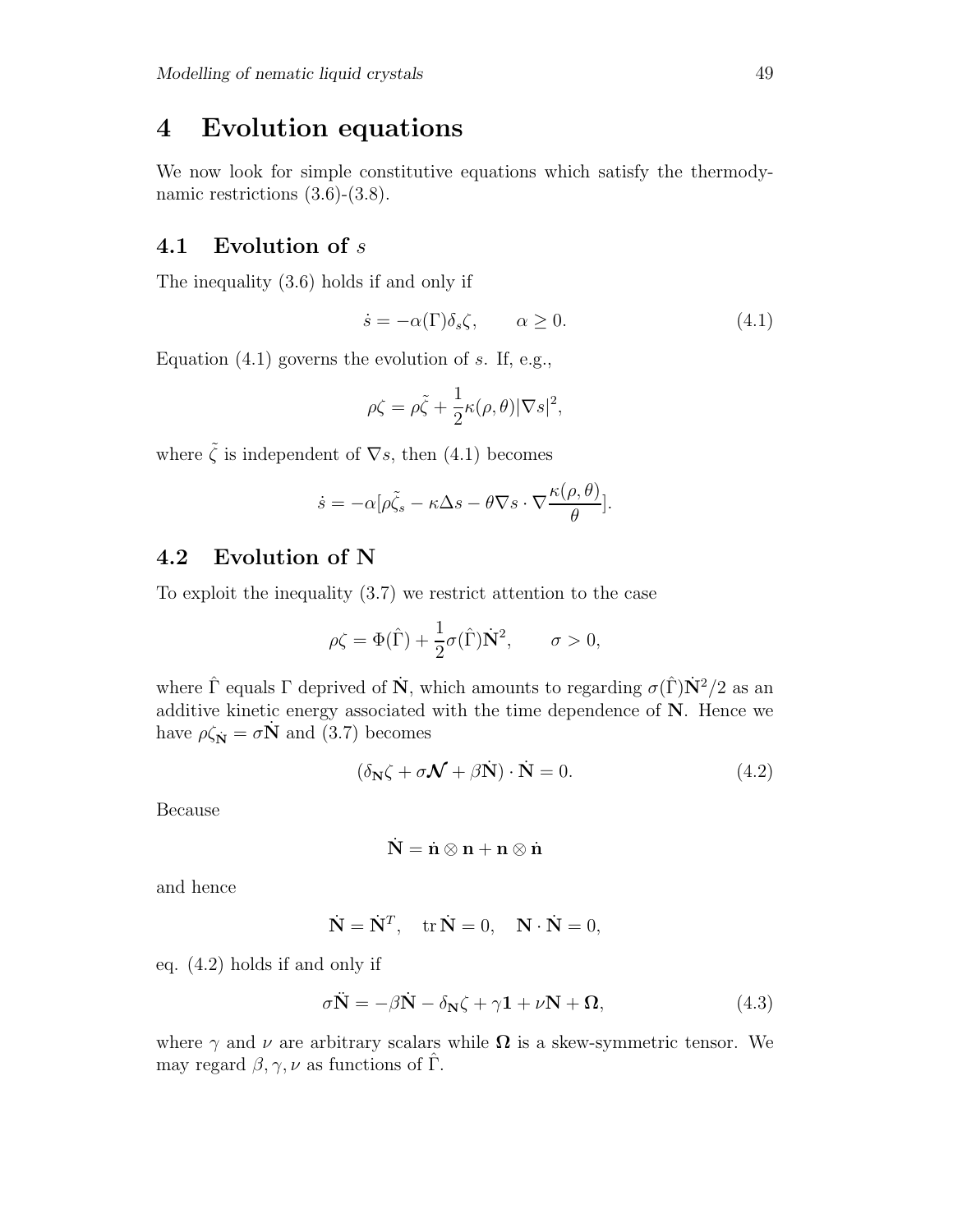## **4 Evolution equations**

We now look for simple constitutive equations which satisfy the thermodynamic restrictions  $(3.6)-(3.8)$ .

### **4.1 Evolution of** s

The inequality (3.6) holds if and only if

$$
\dot{s} = -\alpha(\Gamma)\delta_s\zeta, \qquad \alpha \ge 0. \tag{4.1}
$$

Equation  $(4.1)$  governs the evolution of s. If, e.g.,

$$
\rho \zeta = \rho \tilde{\zeta} + \frac{1}{2} \kappa(\rho, \theta) |\nabla s|^2,
$$

where  $\tilde{\zeta}$  is independent of  $\nabla s$ , then (4.1) becomes

$$
\dot{s} = -\alpha [\rho \tilde{\zeta}_s - \kappa \Delta s - \theta \nabla s \cdot \nabla \frac{\kappa(\rho, \theta)}{\theta}].
$$

#### **4.2 Evolution of N**

To exploit the inequality (3.7) we restrict attention to the case

$$
\rho \zeta = \Phi(\hat{\Gamma}) + \frac{1}{2}\sigma(\hat{\Gamma})\dot{\mathbf{N}}^2, \qquad \sigma > 0,
$$

where  $\hat{\Gamma}$  equals  $\Gamma$  deprived of  $\hat{\mathbf{N}}$ , which amounts to regarding  $\sigma(\hat{\Gamma})\hat{\mathbf{N}}^2/2$  as an additive kinetic energy associated with the time dependence of **N**. Hence we have  $\rho \zeta_N = \sigma \dot{N}$  and (3.7) becomes

$$
(\delta_{\mathbf{N}}\zeta + \sigma \mathcal{N} + \beta \dot{\mathbf{N}}) \cdot \dot{\mathbf{N}} = 0.
$$
 (4.2)

Because

$$
\dot{\mathbf{N}}=\dot{\mathbf{n}}\otimes\mathbf{n}+\mathbf{n}\otimes\dot{\mathbf{n}}
$$

and hence

$$
\dot{\mathbf{N}} = \dot{\mathbf{N}}^T, \quad \text{tr }\dot{\mathbf{N}} = 0, \quad \mathbf{N} \cdot \dot{\mathbf{N}} = 0,
$$

eq. (4.2) holds if and only if

$$
\sigma \ddot{\mathbf{N}} = -\beta \dot{\mathbf{N}} - \delta_{\mathbf{N}} \zeta + \gamma \mathbf{1} + \nu \mathbf{N} + \Omega, \tag{4.3}
$$

where  $\gamma$  and  $\nu$  are arbitrary scalars while  $\Omega$  is a skew-symmetric tensor. We may regard  $\beta, \gamma, \nu$  as functions of  $\hat{\Gamma}$ .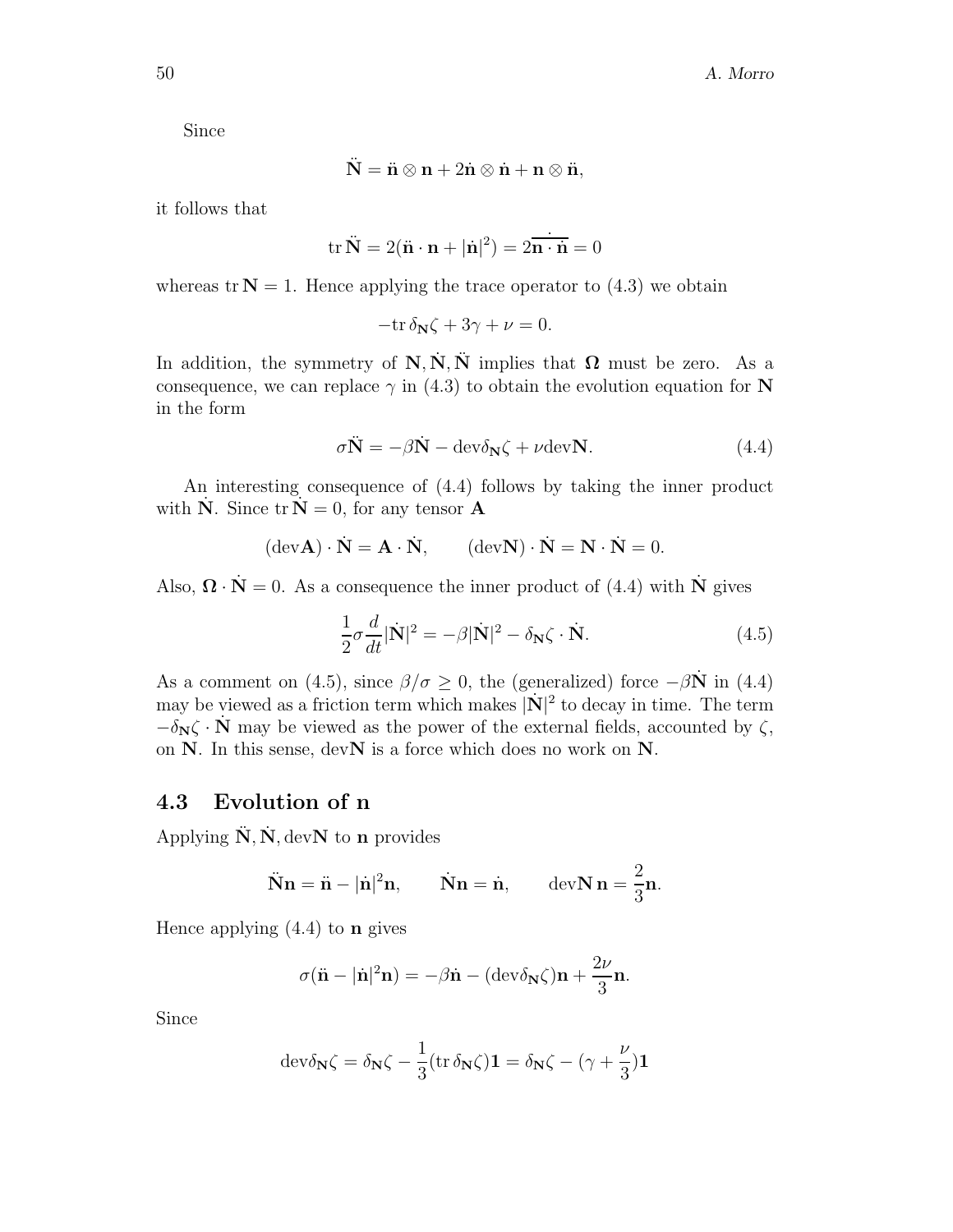Since

$$
\ddot{\mathbf{N}} = \ddot{\mathbf{n}} \otimes \mathbf{n} + 2\dot{\mathbf{n}} \otimes \dot{\mathbf{n}} + \mathbf{n} \otimes \ddot{\mathbf{n}},
$$

it follows that

$$
\operatorname{tr}\ddot{\mathbf{N}} = 2(\ddot{\mathbf{n}}\cdot\mathbf{n} + |\dot{\mathbf{n}}|^2) = 2\dot{\overline{\mathbf{n}}\cdot\dot{\mathbf{n}}} = 0
$$

whereas  $tr N = 1$ . Hence applying the trace operator to (4.3) we obtain

$$
-\mathrm{tr}\,\delta_{{\mathbf N}}\zeta+3\gamma+\nu=0.
$$

In addition, the symmetry of  $\mathbf{N}, \mathbf{N}, \mathbf{N}$  implies that  $\mathbf{\Omega}$  must be zero. As a consequence, we can replace  $\gamma$  in (4.3) to obtain the evolution equation for **N** in the form

$$
\sigma \ddot{\mathbf{N}} = -\beta \dot{\mathbf{N}} - \text{dev}\delta_{\mathbf{N}}\zeta + \nu \text{dev}\mathbf{N}.
$$
 (4.4)

An interesting consequence of (4.4) follows by taking the inner product with  $\dot{\mathbf{N}}$ . Since  $\text{tr} \, \dot{\mathbf{N}} = 0$ , for any tensor **A** 

$$
(\text{dev}\mathbf{A}) \cdot \dot{\mathbf{N}} = \mathbf{A} \cdot \dot{\mathbf{N}}, \qquad (\text{dev}\mathbf{N}) \cdot \dot{\mathbf{N}} = \mathbf{N} \cdot \dot{\mathbf{N}} = 0.
$$

Also,  $\mathbf{\Omega} \cdot \dot{\mathbf{N}} = 0$ . As a consequence the inner product of (4.4) with **N**<sup>i</sup> gives

$$
\frac{1}{2}\sigma \frac{d}{dt}|\dot{\mathbf{N}}|^2 = -\beta|\dot{\mathbf{N}}|^2 - \delta_{\mathbf{N}}\zeta \cdot \dot{\mathbf{N}}.
$$
 (4.5)

As a comment on (4.5), since  $\beta/\sigma \geq 0$ , the (generalized) force  $-\beta \dot{N}$  in (4.4) may be viewed as a friction term which makes  $|\mathbf{N}|^2$  to decay in time. The term  $-\delta_N\zeta \cdot N$  may be viewed as the power of the external fields, accounted by  $\zeta$ , on **N**. In this sense, dev**N** is a force which does no work on **N**.

#### **4.3 Evolution of n**

Applying  $\ddot{\mathbf{N}}$ ,  $\dot{\mathbf{N}}$ , dev**N** to **n** provides

$$
\ddot{\mathbf{N}}\mathbf{n} = \ddot{\mathbf{n}} - |\dot{\mathbf{n}}|^2 \mathbf{n}, \qquad \dot{\mathbf{N}}\mathbf{n} = \dot{\mathbf{n}}, \qquad \text{devN } \mathbf{n} = \frac{2}{3}\mathbf{n}.
$$

Hence applying (4.4) to **n** gives

$$
\sigma(\ddot{\mathbf{n}} - |\dot{\mathbf{n}}|^2 \mathbf{n}) = -\beta \dot{\mathbf{n}} - (\text{dev}\delta_{\mathbf{N}}\zeta)\mathbf{n} + \frac{2\nu}{3}\mathbf{n}.
$$

Since

$$
\mathrm{dev}\delta_{\mathbf{N}}\zeta = \delta_{\mathbf{N}}\zeta - \frac{1}{3}(\mathrm{tr}\,\delta_{\mathbf{N}}\zeta)\mathbf{1} = \delta_{\mathbf{N}}\zeta - (\gamma + \frac{\nu}{3})\mathbf{1}
$$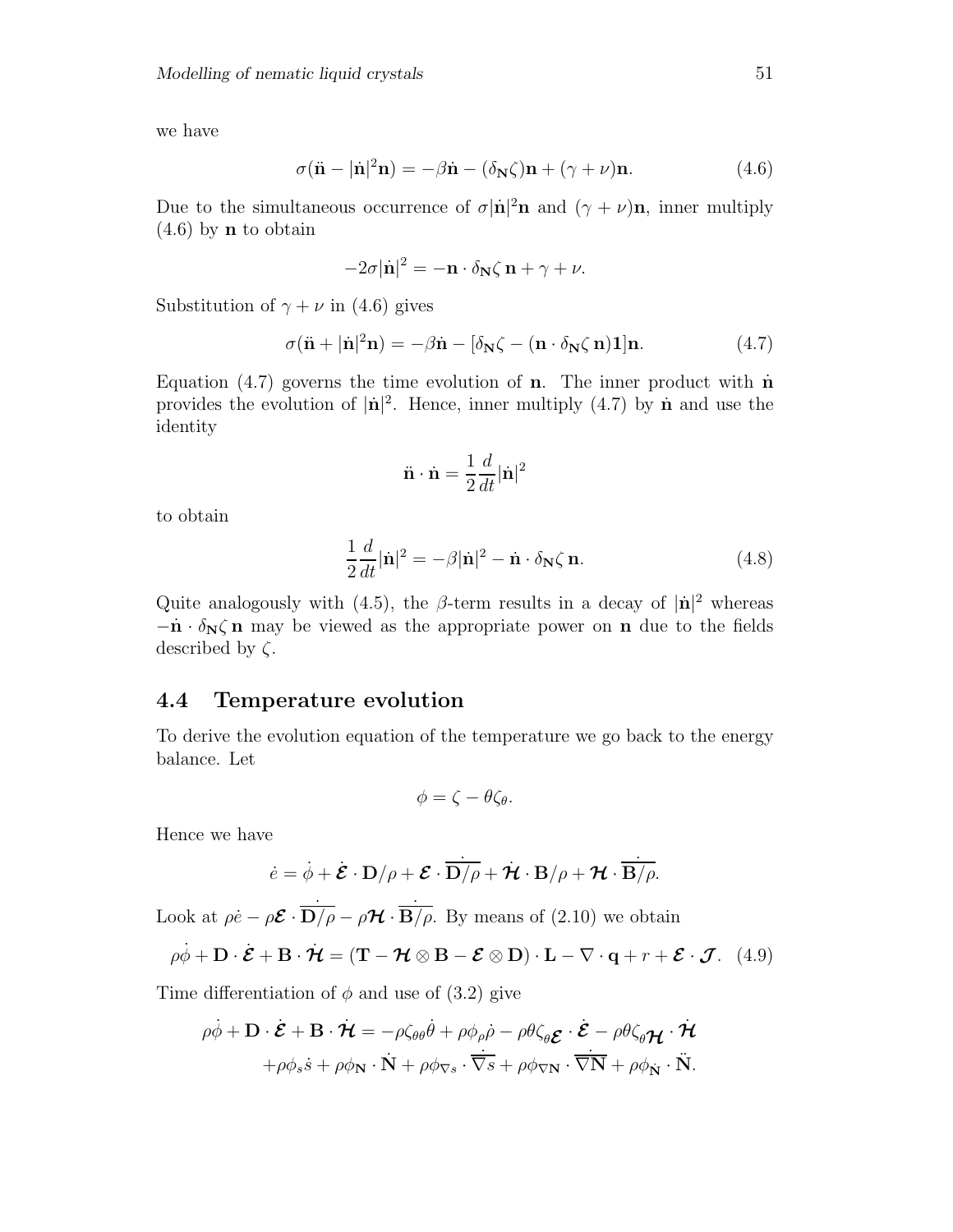we have

$$
\sigma(\ddot{\mathbf{n}} - |\dot{\mathbf{n}}|^2 \mathbf{n}) = -\beta \dot{\mathbf{n}} - (\delta_{\mathbf{N}} \zeta) \mathbf{n} + (\gamma + \nu) \mathbf{n}.
$$
 (4.6)

Due to the simultaneous occurrence of  $\sigma |\dot{\mathbf{n}}|^2 \mathbf{n}$  and  $(\gamma + \nu) \mathbf{n}$ , inner multiply (4.6) by **n** to obtain

$$
-2\sigma |\dot{\mathbf{n}}|^2 = -\mathbf{n} \cdot \delta_{\mathbf{N}} \zeta \mathbf{n} + \gamma + \nu.
$$

Substitution of  $\gamma + \nu$  in (4.6) gives

$$
\sigma(\ddot{\mathbf{n}} + |\dot{\mathbf{n}}|^2 \mathbf{n}) = -\beta \dot{\mathbf{n}} - [\delta_{\mathbf{N}} \zeta - (\mathbf{n} \cdot \delta_{\mathbf{N}} \zeta \mathbf{n}) \mathbf{1}] \mathbf{n}.
$$
 (4.7)

Equation  $(4.7)$  governs the time evolution of **n**. The inner product with **n** provides the evolution of  $|\dot{\mathbf{n}}|^2$ . Hence, inner multiply (4.7) by  $\dot{\mathbf{n}}$  and use the identity

$$
\ddot{\mathbf{n}}\cdot\dot{\mathbf{n}}=\frac{1}{2}\frac{d}{dt}|\dot{\mathbf{n}}|^2
$$

to obtain

$$
\frac{1}{2}\frac{d}{dt}|\dot{\mathbf{n}}|^2 = -\beta|\dot{\mathbf{n}}|^2 - \dot{\mathbf{n}} \cdot \delta_{\mathbf{N}}\zeta \,\mathbf{n}.\tag{4.8}
$$

Quite analogously with (4.5), the  $\beta$ -term results in a decay of  $|\mathbf{n}|^2$  whereas  $-\dot{\mathbf{n}} \cdot \delta_{\mathbf{N}} \zeta$  **n** may be viewed as the appropriate power on **n** due to the fields described by  $\zeta$ .

#### **4.4 Temperature evolution**

To derive the evolution equation of the temperature we go back to the energy balance. Let

$$
\phi=\zeta-\theta\zeta_{\theta}.
$$

Hence we have

$$
\dot{e} = \dot{\phi} + \dot{\mathcal{E}} \cdot \mathbf{D}/\rho + \mathcal{E} \cdot \overline{\mathbf{D}/\rho} + \dot{\mathcal{H}} \cdot \mathbf{B}/\rho + \mathcal{H} \cdot \overline{\mathbf{B}/\rho}.
$$

Look at  $\rho \dot{e} - \rho \mathcal{E} \cdot \overrightarrow{D/\rho} - \rho \mathcal{H} \cdot \overrightarrow{B/\rho}$ . By means of (2.10) we obtain

$$
\rho \dot{\phi} + \mathbf{D} \cdot \dot{\mathbf{\mathcal{E}}} + \mathbf{B} \cdot \dot{\mathbf{\mathcal{H}}} = (\mathbf{T} - \mathbf{\mathcal{H}} \otimes \mathbf{B} - \mathbf{\mathcal{E}} \otimes \mathbf{D}) \cdot \mathbf{L} - \nabla \cdot \mathbf{q} + r + \mathbf{\mathcal{E}} \cdot \mathbf{\mathcal{J}}.
$$
 (4.9)

Time differentiation of  $\phi$  and use of (3.2) give

$$
\rho\dot{\phi} + \mathbf{D} \cdot \dot{\mathbf{\mathcal{E}}} + \mathbf{B} \cdot \dot{\mathbf{\mathcal{H}}} = -\rho \zeta_{\theta\theta} \dot{\theta} + \rho \phi_{\rho} \dot{\rho} - \rho \theta \zeta_{\theta} \mathbf{\mathcal{E}} \cdot \dot{\mathbf{\mathcal{E}}} - \rho \theta \zeta_{\theta} \mathbf{\mathcal{H}} \cdot \dot{\mathbf{\mathcal{H}}}
$$

$$
+ \rho \phi_{s} \dot{s} + \rho \phi_{N} \cdot \dot{N} + \rho \phi_{\nabla s} \cdot \dot{\overline{\nabla s}} + \rho \phi_{\nabla N} \cdot \dot{\overline{\nabla N}} + \rho \phi_{N} \cdot \ddot{N}.
$$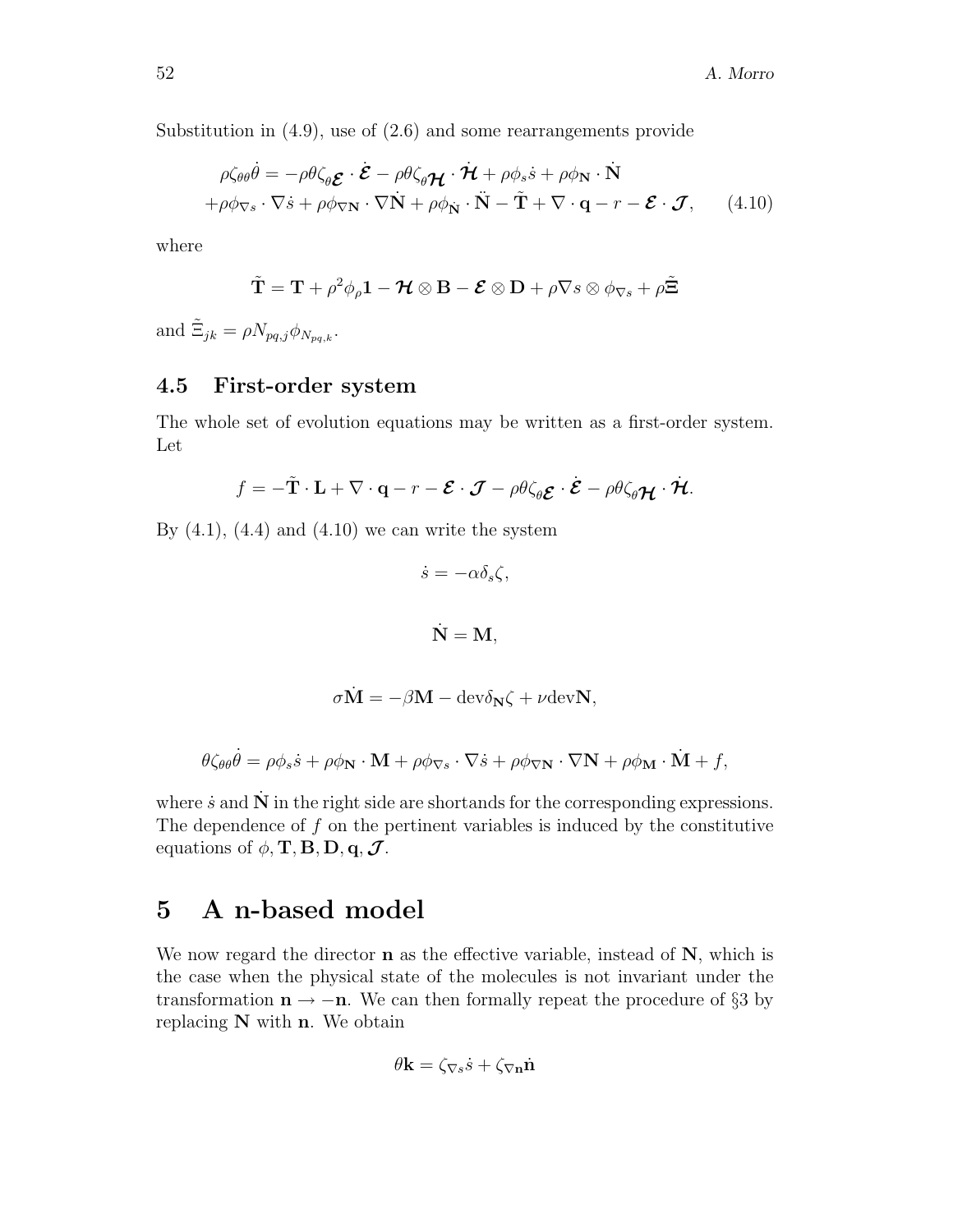Substitution in (4.9), use of (2.6) and some rearrangements provide

$$
\rho \zeta_{\theta \theta} \dot{\theta} = -\rho \theta \zeta_{\theta} \mathbf{\Sigma} \cdot \dot{\mathbf{\Sigma}} - \rho \theta \zeta_{\theta} \mathbf{\mathcal{H}} \cdot \dot{\mathbf{\mathcal{H}}} + \rho \phi_{s} \dot{s} + \rho \phi_{N} \cdot \dot{N} + \rho \phi_{\nabla s} \cdot \nabla \dot{s} + \rho \phi_{\nabla N} \cdot \nabla \dot{N} + \rho \phi_{N} \cdot \ddot{N} - \tilde{T} + \nabla \cdot \mathbf{q} - r - \mathbf{\Sigma} \cdot \mathbf{\mathcal{J}}, \qquad (4.10)
$$

where

$$
\tilde{\mathbf{T}} = \mathbf{T} + \rho^2 \phi_{\rho} \mathbf{1} - \mathcal{H} \otimes \mathbf{B} - \mathcal{E} \otimes \mathbf{D} + \rho \nabla s \otimes \phi_{\nabla s} + \rho \tilde{\Xi}
$$

and  $\tilde{\Xi}_{jk} = \rho N_{pq,j} \phi_{N_{pq,k}}$ .

### **4.5 First-order system**

The whole set of evolution equations may be written as a first-order system. Let

$$
f = -\tilde{\mathbf{T}} \cdot \mathbf{L} + \nabla \cdot \mathbf{q} - r - \boldsymbol{\mathcal{E}} \cdot \boldsymbol{\mathcal{J}} - \rho \theta \zeta_{\theta} \boldsymbol{\mathcal{E}} \cdot \boldsymbol{\mathcal{E}} - \rho \theta \zeta_{\theta} \boldsymbol{\mathcal{H}} \cdot \boldsymbol{\mathcal{H}}.
$$

By  $(4.1)$ ,  $(4.4)$  and  $(4.10)$  we can write the system

$$
\dot{s} = -\alpha \delta_s \zeta,
$$

$$
\dot{\mathbf{N}}=\mathbf{M},
$$

$$
\sigma \dot{\mathbf{M}} = -\beta \mathbf{M} - \mathrm{dev}\delta_{\mathbf{N}}\zeta + \nu \mathrm{dev}\mathbf{N},
$$

$$
\theta \zeta_{\theta \theta} \dot{\theta} = \rho \phi_s \dot{s} + \rho \phi_{\mathbf{N}} \cdot \mathbf{M} + \rho \phi_{\nabla s} \cdot \nabla \dot{s} + \rho \phi_{\nabla \mathbf{N}} \cdot \nabla \mathbf{N} + \rho \phi_{\mathbf{M}} \cdot \dot{\mathbf{M}} + f,
$$

where  $\dot{s}$  and  $\dot{N}$  in the right side are shortands for the corresponding expressions. The dependence of  $f$  on the pertinent variables is induced by the constitutive equations of  $\phi$ , **T**, **B**, **D**, **q**, **J**.

## **5 A n-based model**

We now regard the director **n** as the effective variable, instead of **N**, which is the case when the physical state of the molecules is not invariant under the transformation  $\mathbf{n} \rightarrow -\mathbf{n}$ . We can then formally repeat the procedure of §3 by replacing **N** with **n**. We obtain

$$
\theta \mathbf{k} = \zeta_{\nabla s} \dot{s} + \zeta_{\nabla \mathbf{n}} \dot{\mathbf{n}}
$$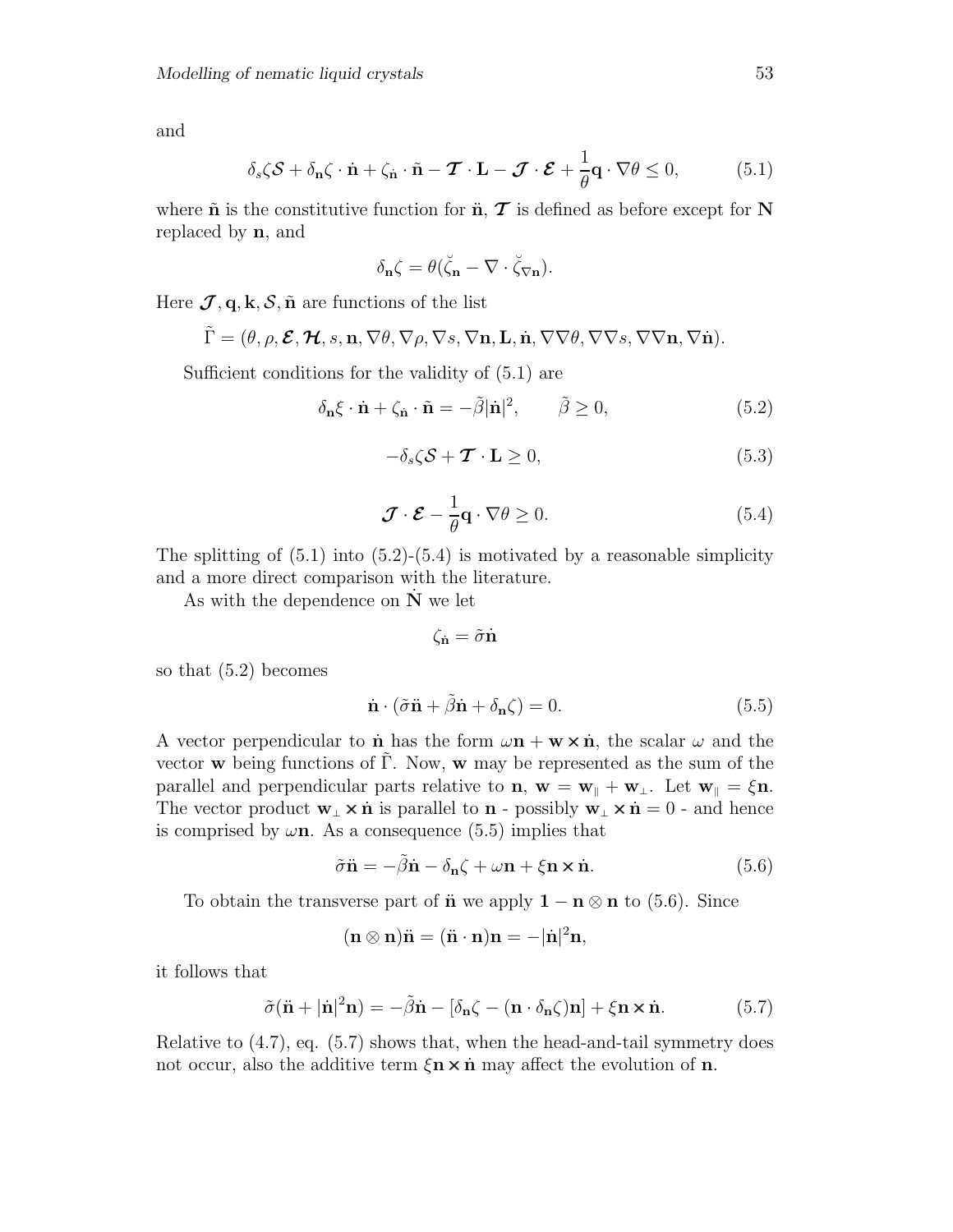and

$$
\delta_s \zeta \mathcal{S} + \delta_{\mathbf{n}} \zeta \cdot \dot{\mathbf{n}} + \zeta_{\dot{\mathbf{n}}} \cdot \tilde{\mathbf{n}} - \boldsymbol{\mathcal{T}} \cdot \mathbf{L} - \boldsymbol{\mathcal{J}} \cdot \boldsymbol{\mathcal{E}} + \frac{1}{\theta} \mathbf{q} \cdot \nabla \theta \le 0, \qquad (5.1)
$$

where  $\tilde{\mathbf{n}}$  is the constitutive function for  $\tilde{\mathbf{n}}$ ,  $\tilde{\mathbf{T}}$  is defined as before except for **N** replaced by **n**, and

$$
\delta_{\mathbf{n}}\zeta = \theta(\breve{\zeta}_{\mathbf{n}} - \nabla \cdot \breve{\zeta}_{\nabla \mathbf{n}}).
$$

Here  $\mathcal{J}, \mathbf{q}, \mathbf{k}, \mathcal{S}, \tilde{\mathbf{n}}$  are functions of the list

$$
\tilde{\Gamma} = (\theta, \rho, \mathcal{E}, \mathcal{H}, s, n, \nabla \theta, \nabla \rho, \nabla s, \nabla n, L, \dot{n}, \nabla \nabla \theta, \nabla \nabla s, \nabla \nabla n, \nabla \dot{n}).
$$

Sufficient conditions for the validity of (5.1) are

$$
\delta_{\mathbf{n}}\xi \cdot \dot{\mathbf{n}} + \zeta_{\dot{\mathbf{n}}} \cdot \tilde{\mathbf{n}} = -\tilde{\beta}|\dot{\mathbf{n}}|^2, \qquad \tilde{\beta} \ge 0,
$$
\n(5.2)

$$
-\delta_s \zeta \mathcal{S} + \mathcal{T} \cdot \mathbf{L} \ge 0, \tag{5.3}
$$

$$
\mathcal{J} \cdot \mathcal{E} - \frac{1}{\theta} \mathbf{q} \cdot \nabla \theta \ge 0. \tag{5.4}
$$

The splitting of  $(5.1)$  into  $(5.2)$ - $(5.4)$  is motivated by a reasonable simplicity and a more direct comparison with the literature.

As with the dependence on  $\dot{N}$  we let

$$
\zeta_{\dot{\mathbf{n}}} = \tilde{\sigma} \dot{\mathbf{n}}
$$

so that (5.2) becomes

$$
\dot{\mathbf{n}} \cdot (\tilde{\sigma}\ddot{\mathbf{n}} + \tilde{\beta}\dot{\mathbf{n}} + \delta_{\mathbf{n}}\zeta) = 0. \tag{5.5}
$$

A vector perpendicular to **n** has the form  $\omega$ **n** + **w**  $\times$  **n**<sup> $\cdot$ </sup>, the scalar  $\omega$  and the vector **w** being functions of  $\tilde{\Gamma}$ . Now, **w** may be represented as the sum of the parallel and perpendicular parts relative to **n**,  $\mathbf{w} = \mathbf{w}_{\parallel} + \mathbf{w}_{\perp}$ . Let  $\mathbf{w}_{\parallel} = \xi \mathbf{n}$ . The vector product  $\mathbf{w}_{\perp} \times \dot{\mathbf{n}}$  is parallel to  $\mathbf{n}$  - possibly  $\mathbf{w}_{\perp} \times \dot{\mathbf{n}} = 0$  - and hence is comprised by  $\omega$ **n**. As a consequence (5.5) implies that

$$
\tilde{\sigma}\ddot{\mathbf{n}} = -\tilde{\beta}\dot{\mathbf{n}} - \delta_{\mathbf{n}}\zeta + \omega\mathbf{n} + \xi\mathbf{n} \times \dot{\mathbf{n}}.\tag{5.6}
$$

To obtain the transverse part of **n** we apply  $1 - n \otimes n$  to (5.6). Since

 $(\mathbf{n} \otimes \mathbf{n})\ddot{\mathbf{n}} = (\ddot{\mathbf{n}} \cdot \mathbf{n})\mathbf{n} = -|\dot{\mathbf{n}}|^2 \mathbf{n},$ 

it follows that

$$
\tilde{\sigma}(\ddot{\mathbf{n}} + |\dot{\mathbf{n}}|^2 \mathbf{n}) = -\tilde{\beta}\dot{\mathbf{n}} - [\delta_{\mathbf{n}}\zeta - (\mathbf{n} \cdot \delta_{\mathbf{n}}\zeta)\mathbf{n}] + \xi \mathbf{n} \times \dot{\mathbf{n}}.\tag{5.7}
$$

Relative to  $(4.7)$ , eq.  $(5.7)$  shows that, when the head-and-tail symmetry does not occur, also the additive term  $\xi$ **n**  $\times$  **n**<sup> $\ldots$ </sup> may affect the evolution of **n**.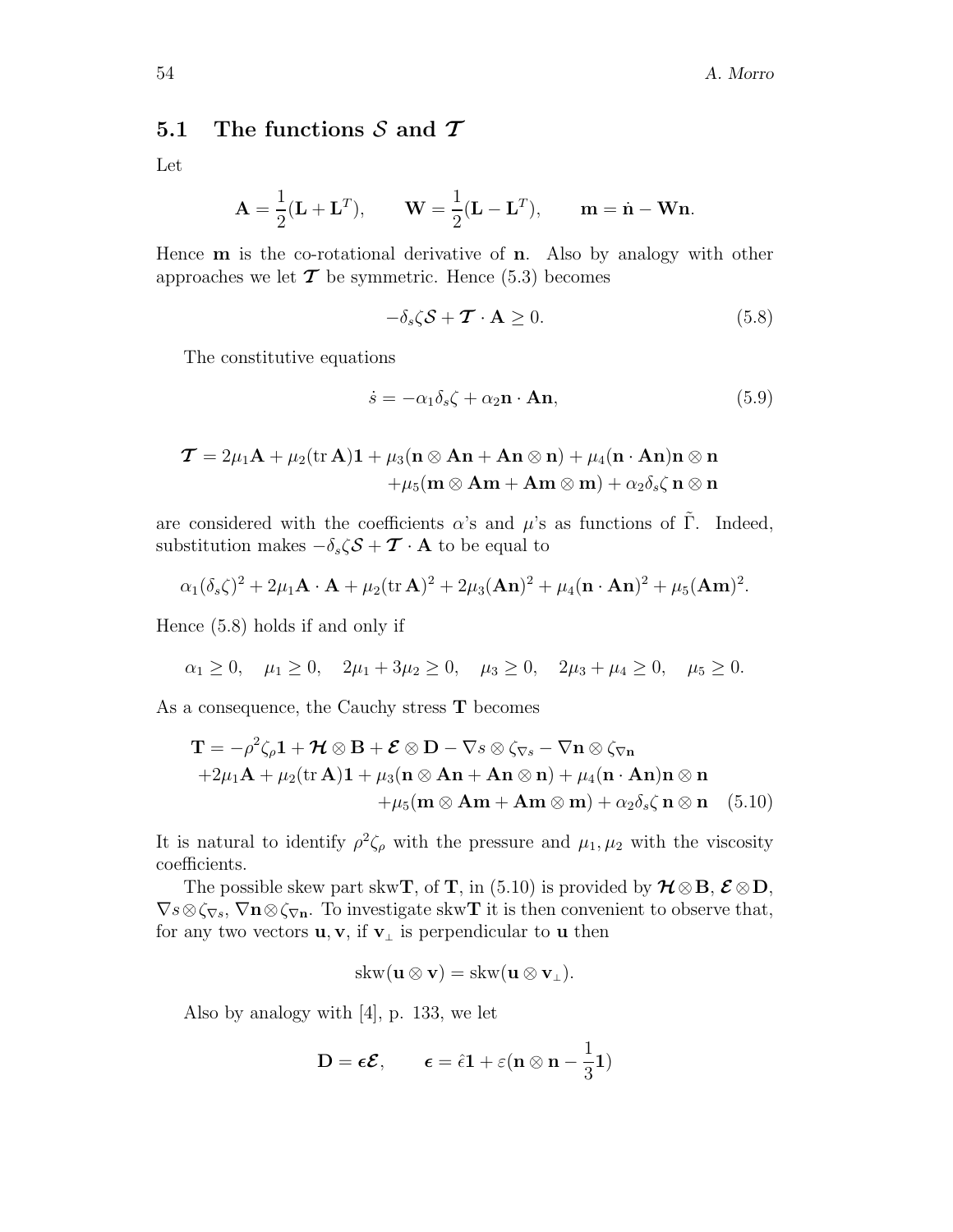#### **5.1 The functions** S **and** *T*

Let

$$
\mathbf{A} = \frac{1}{2}(\mathbf{L} + \mathbf{L}^T), \qquad \mathbf{W} = \frac{1}{2}(\mathbf{L} - \mathbf{L}^T), \qquad \mathbf{m} = \dot{\mathbf{n}} - \mathbf{W}\mathbf{n}.
$$

Hence **m** is the co-rotational derivative of **n**. Also by analogy with other approaches we let  $\mathcal T$  be symmetric. Hence (5.3) becomes

$$
-\delta_s \zeta \mathcal{S} + \mathcal{T} \cdot \mathbf{A} \ge 0. \tag{5.8}
$$

The constitutive equations

$$
\dot{s} = -\alpha_1 \delta_s \zeta + \alpha_2 \mathbf{n} \cdot \mathbf{An},\tag{5.9}
$$

$$
\begin{aligned} \boldsymbol{\mathcal{T}}&=2\mu_1\mathbf{A}+\mu_2(\mathrm{tr}\,\mathbf{A})\mathbf{1}+\mu_3(\mathbf{n}\otimes\mathbf{A}\mathbf{n}+\mathbf{A}\mathbf{n}\otimes\mathbf{n})+\mu_4(\mathbf{n}\cdot\mathbf{A}\mathbf{n})\mathbf{n}\otimes\mathbf{n}\\ &\qquad+\mu_5(\mathbf{m}\otimes\mathbf{A}\mathbf{m}+\mathbf{A}\mathbf{m}\otimes\mathbf{m})+\alpha_2\delta_s\zeta\,\mathbf{n}\otimes\mathbf{n}\end{aligned}
$$

are considered with the coefficients  $\alpha$ 's and  $\mu$ 's as functions of Γ. Indeed, substitution makes  $-\delta_s\zeta\mathcal{S}+\mathcal{T}\cdot\mathbf{A}$  to be equal to

$$
\alpha_1(\delta_s\zeta)^2 + 2\mu_1\mathbf{A}\cdot\mathbf{A} + \mu_2(\text{tr}\,\mathbf{A})^2 + 2\mu_3(\mathbf{A}\mathbf{n})^2 + \mu_4(\mathbf{n}\cdot\mathbf{A}\mathbf{n})^2 + \mu_5(\mathbf{A}\mathbf{m})^2.
$$

Hence (5.8) holds if and only if

$$
\alpha_1 \ge 0, \quad \mu_1 \ge 0, \quad 2\mu_1 + 3\mu_2 \ge 0, \quad \mu_3 \ge 0, \quad 2\mu_3 + \mu_4 \ge 0, \quad \mu_5 \ge 0.
$$

As a consequence, the Cauchy stress **T** becomes

$$
\mathbf{T} = -\rho^2 \zeta_\rho \mathbf{1} + \mathcal{H} \otimes \mathbf{B} + \mathcal{E} \otimes \mathbf{D} - \nabla s \otimes \zeta_{\nabla s} - \nabla \mathbf{n} \otimes \zeta_{\nabla \mathbf{n}} + 2\mu_1 \mathbf{A} + \mu_2 (\text{tr } \mathbf{A}) \mathbf{1} + \mu_3 (\mathbf{n} \otimes \mathbf{A} \mathbf{n} + \mathbf{A} \mathbf{n} \otimes \mathbf{n}) + \mu_4 (\mathbf{n} \cdot \mathbf{A} \mathbf{n}) \mathbf{n} \otimes \mathbf{n} + \mu_5 (\mathbf{m} \otimes \mathbf{A} \mathbf{m} + \mathbf{A} \mathbf{m} \otimes \mathbf{m}) + \alpha_2 \delta_s \zeta \mathbf{n} \otimes \mathbf{n} \quad (5.10)
$$

It is natural to identify  $\rho^2 \zeta_\rho$  with the pressure and  $\mu_1, \mu_2$  with the viscosity coefficients.

The possible skew part skw**T**, of **T**, in (5.10) is provided by  $\mathcal{H} \otimes \mathbf{B}$ ,  $\mathcal{E} \otimes \mathbf{D}$ ,  $\nabla s \otimes \zeta_{\nabla s}$ ,  $\nabla \mathbf{n} \otimes \zeta_{\nabla \mathbf{n}}$ . To investigate skw**T** it is then convenient to observe that, for any two vectors  $\mathbf{u}, \mathbf{v}$ , if  $\mathbf{v}_\perp$  is perpendicular to **u** then

$$
\operatorname{skw}({\mathbf u}\otimes{\mathbf v})=\operatorname{skw}({\mathbf u}\otimes{\mathbf v}_\perp).
$$

Also by analogy with [4], p. 133, we let

$$
\mathbf{D} = \boldsymbol{\epsilon} \boldsymbol{\mathcal{E}}, \qquad \boldsymbol{\epsilon} = \hat{\epsilon} \mathbf{1} + \varepsilon (\mathbf{n} \otimes \mathbf{n} - \frac{1}{3} \mathbf{1})
$$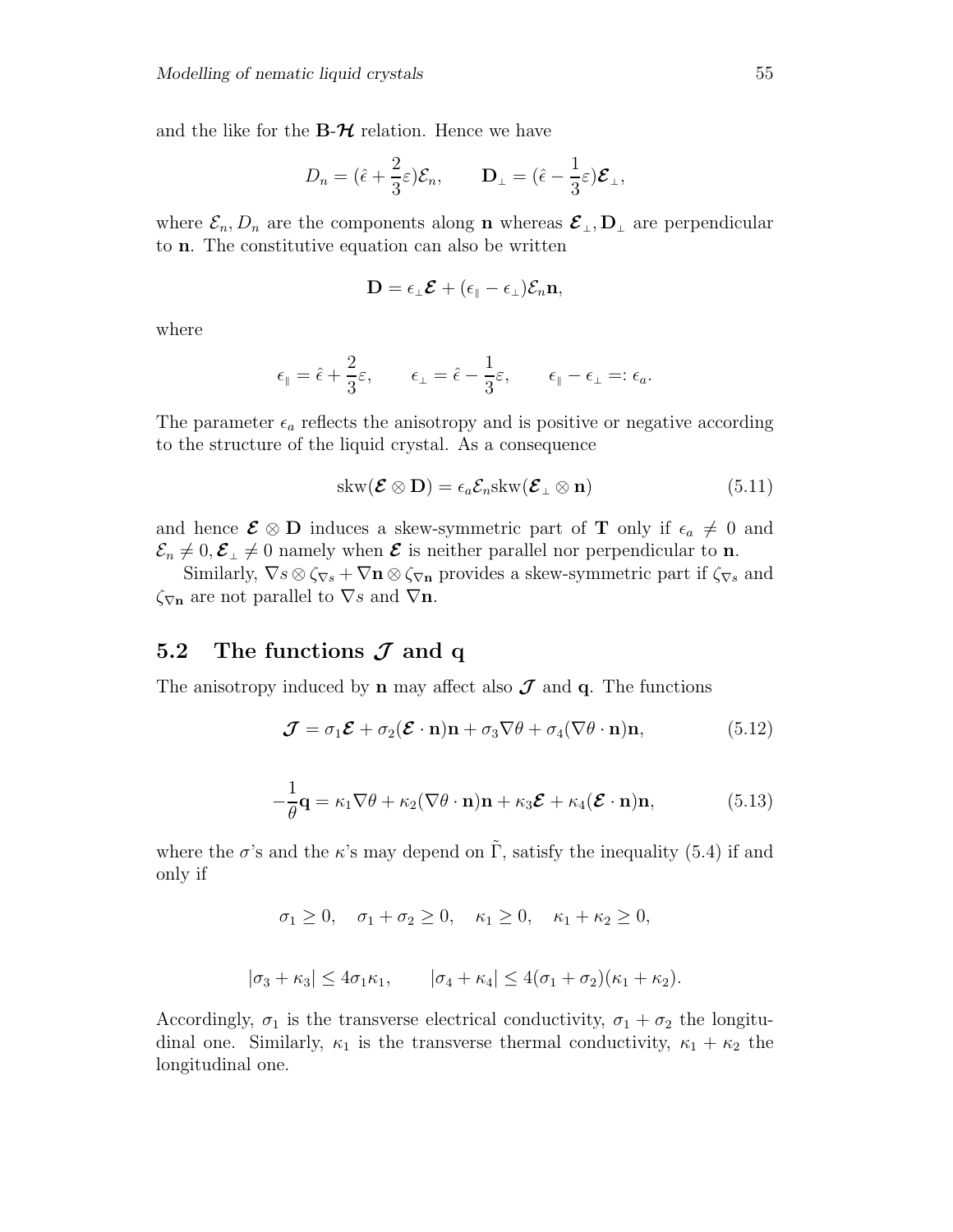and the like for the  $B-\mathcal{H}$  relation. Hence we have

$$
D_n = (\hat{\epsilon} + \frac{2}{3}\varepsilon)\mathcal{E}_n, \qquad \mathbf{D}_{\perp} = (\hat{\epsilon} - \frac{1}{3}\varepsilon)\boldsymbol{\mathcal{E}}_{\perp},
$$

where  $\mathcal{E}_n, D_n$  are the components along **n** whereas  $\mathcal{E}_\perp, D_\perp$  are perpendicular to **n**. The constitutive equation can also be written

$$
\mathbf{D} = \epsilon_{\scriptscriptstyle\perp}\boldsymbol{\mathcal{E}} + (\epsilon_{\scriptscriptstyle\parallel}-\epsilon_{\scriptscriptstyle\perp})\mathcal{E}_n\mathbf{n},
$$

where

$$
\epsilon_{\parallel} = \hat{\epsilon} + \frac{2}{3} \varepsilon, \qquad \epsilon_{\perp} = \hat{\epsilon} - \frac{1}{3} \varepsilon, \qquad \epsilon_{\parallel} - \epsilon_{\perp} =: \epsilon_a.
$$

The parameter  $\epsilon_a$  reflects the anisotropy and is positive or negative according to the structure of the liquid crystal. As a consequence

$$
skw(\mathcal{E} \otimes \mathbf{D}) = \epsilon_a \mathcal{E}_n skw(\mathcal{E}_\perp \otimes \mathbf{n})
$$
 (5.11)

and hence  $\mathcal{E} \otimes \mathbf{D}$  induces a skew-symmetric part of **T** only if  $\epsilon_a \neq 0$  and  $\mathcal{E}_n \neq 0, \mathcal{E}_\perp \neq 0$  namely when  $\mathcal E$  is neither parallel nor perpendicular to **n**.

Similarly,  $\nabla s \otimes \zeta_{\nabla s} + \nabla \mathbf{n} \otimes \zeta_{\nabla \mathbf{n}}$  provides a skew-symmetric part if  $\zeta_{\nabla s}$  and  $\zeta_{\nabla n}$  are not parallel to  $\nabla s$  and  $\nabla n$ .

## **5.2 The functions** *J* **and q**

The anisotropy induced by **n** may affect also  $J$  and **q**. The functions

$$
\mathcal{J} = \sigma_1 \mathcal{E} + \sigma_2 (\mathcal{E} \cdot \mathbf{n}) \mathbf{n} + \sigma_3 \nabla \theta + \sigma_4 (\nabla \theta \cdot \mathbf{n}) \mathbf{n}, \tag{5.12}
$$

$$
-\frac{1}{\theta}\mathbf{q} = \kappa_1 \nabla \theta + \kappa_2 (\nabla \theta \cdot \mathbf{n}) \mathbf{n} + \kappa_3 \mathbf{\mathcal{E}} + \kappa_4 (\mathbf{\mathcal{E}} \cdot \mathbf{n}) \mathbf{n},
$$
(5.13)

where the  $\sigma$ 's and the  $\kappa$ 's may depend on  $\tilde{\Gamma}$ , satisfy the inequality (5.4) if and only if

 $\sigma_1 > 0$ ,  $\sigma_1 + \sigma_2 > 0$ ,  $\kappa_1 > 0$ ,  $\kappa_1 + \kappa_2 > 0$ ,

 $|\sigma_3 + \kappa_3| \leq 4\sigma_1\kappa_1, \qquad |\sigma_4 + \kappa_4| \leq 4(\sigma_1 + \sigma_2)(\kappa_1 + \kappa_2).$ 

Accordingly,  $\sigma_1$  is the transverse electrical conductivity,  $\sigma_1 + \sigma_2$  the longitudinal one. Similarly,  $\kappa_1$  is the transverse thermal conductivity,  $\kappa_1 + \kappa_2$  the longitudinal one.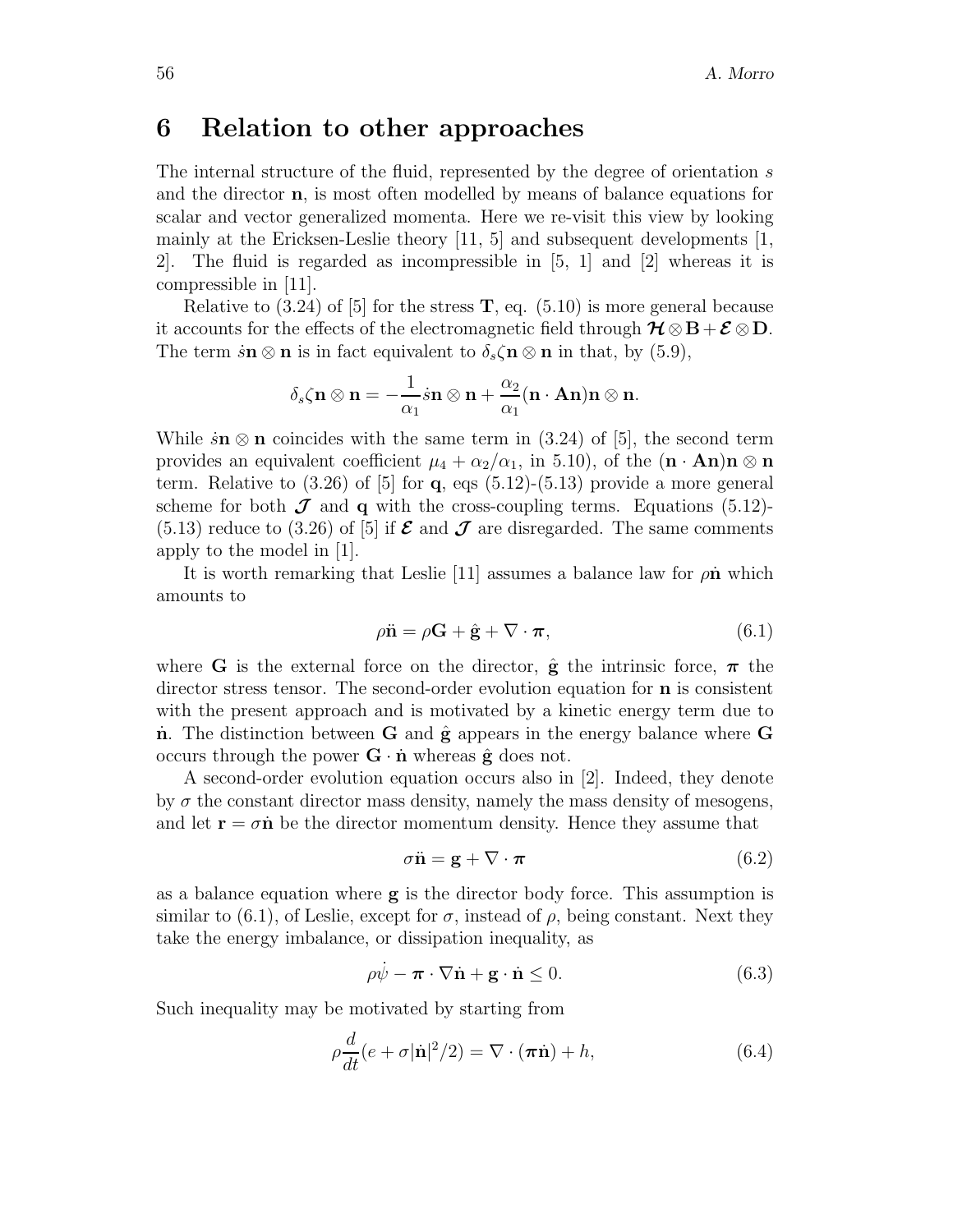## **6 Relation to other approaches**

The internal structure of the fluid, represented by the degree of orientation s and the director **n**, is most often modelled by means of balance equations for scalar and vector generalized momenta. Here we re-visit this view by looking mainly at the Ericksen-Leslie theory [11, 5] and subsequent developments [1, 2]. The fluid is regarded as incompressible in [5, 1] and [2] whereas it is compressible in [11].

Relative to  $(3.24)$  of [5] for the stress **T**, eq.  $(5.10)$  is more general because it accounts for the effects of the electromagnetic field through  $\mathcal{H} \otimes \mathbf{B} + \mathcal{E} \otimes \mathbf{D}$ . The term  $\dot{s}n \otimes n$  is in fact equivalent to  $\delta_s \zeta n \otimes n$  in that, by (5.9),

$$
\delta_s \zeta {\bf n} \otimes {\bf n} = - \frac{1}{\alpha_1} \dot{s} {\bf n} \otimes {\bf n} + \frac{\alpha_2}{\alpha_1} ({\bf n} \cdot {\bf A} {\bf n}) {\bf n} \otimes {\bf n}.
$$

While  $\sin \otimes \mathbf{n}$  coincides with the same term in (3.24) of [5], the second term provides an equivalent coefficient  $\mu_4 + \alpha_2/\alpha_1$ , in 5.10), of the  $(\mathbf{n} \cdot \mathbf{An})\mathbf{n} \otimes \mathbf{n}$ term. Relative to (3.26) of [5] for **q**, eqs (5.12)-(5.13) provide a more general scheme for both  $J$  and **q** with the cross-coupling terms. Equations (5.12)- $(5.13)$  reduce to  $(3.26)$  of [5] if  $\mathcal E$  and  $\mathcal J$  are disregarded. The same comments apply to the model in [1].

It is worth remarking that Leslie  $[11]$  assumes a balance law for  $\rho \hat{\mathbf{n}}$  which amounts to

$$
\rho \ddot{\mathbf{n}} = \rho \mathbf{G} + \hat{\mathbf{g}} + \nabla \cdot \boldsymbol{\pi},\tag{6.1}
$$

where **G** is the external force on the director,  $\hat{\mathbf{g}}$  the intrinsic force,  $\pi$  the director stress tensor. The second-order evolution equation for **n** is consistent with the present approach and is motivated by a kinetic energy term due to **n**˙ . The distinction between **G** and **g**ˆ appears in the energy balance where **G** occurs through the power  $\mathbf{G} \cdot \dot{\mathbf{n}}$  whereas  $\hat{\mathbf{g}}$  does not.

A second-order evolution equation occurs also in [2]. Indeed, they denote by  $\sigma$  the constant director mass density, namely the mass density of mesogens, and let  $\mathbf{r} = \sigma \dot{\mathbf{n}}$  be the director momentum density. Hence they assume that

$$
\sigma \ddot{\mathbf{n}} = \mathbf{g} + \nabla \cdot \boldsymbol{\pi} \tag{6.2}
$$

as a balance equation where **g** is the director body force. This assumption is similar to (6.1), of Leslie, except for  $\sigma$ , instead of  $\rho$ , being constant. Next they take the energy imbalance, or dissipation inequality, as

$$
\rho \dot{\psi} - \boldsymbol{\pi} \cdot \nabla \dot{\mathbf{n}} + \mathbf{g} \cdot \dot{\mathbf{n}} \le 0. \tag{6.3}
$$

Such inequality may be motivated by starting from

$$
\rho \frac{d}{dt} (e + \sigma |\dot{\mathbf{n}}|^2 / 2) = \nabla \cdot (\boldsymbol{\pi} \dot{\mathbf{n}}) + h,\tag{6.4}
$$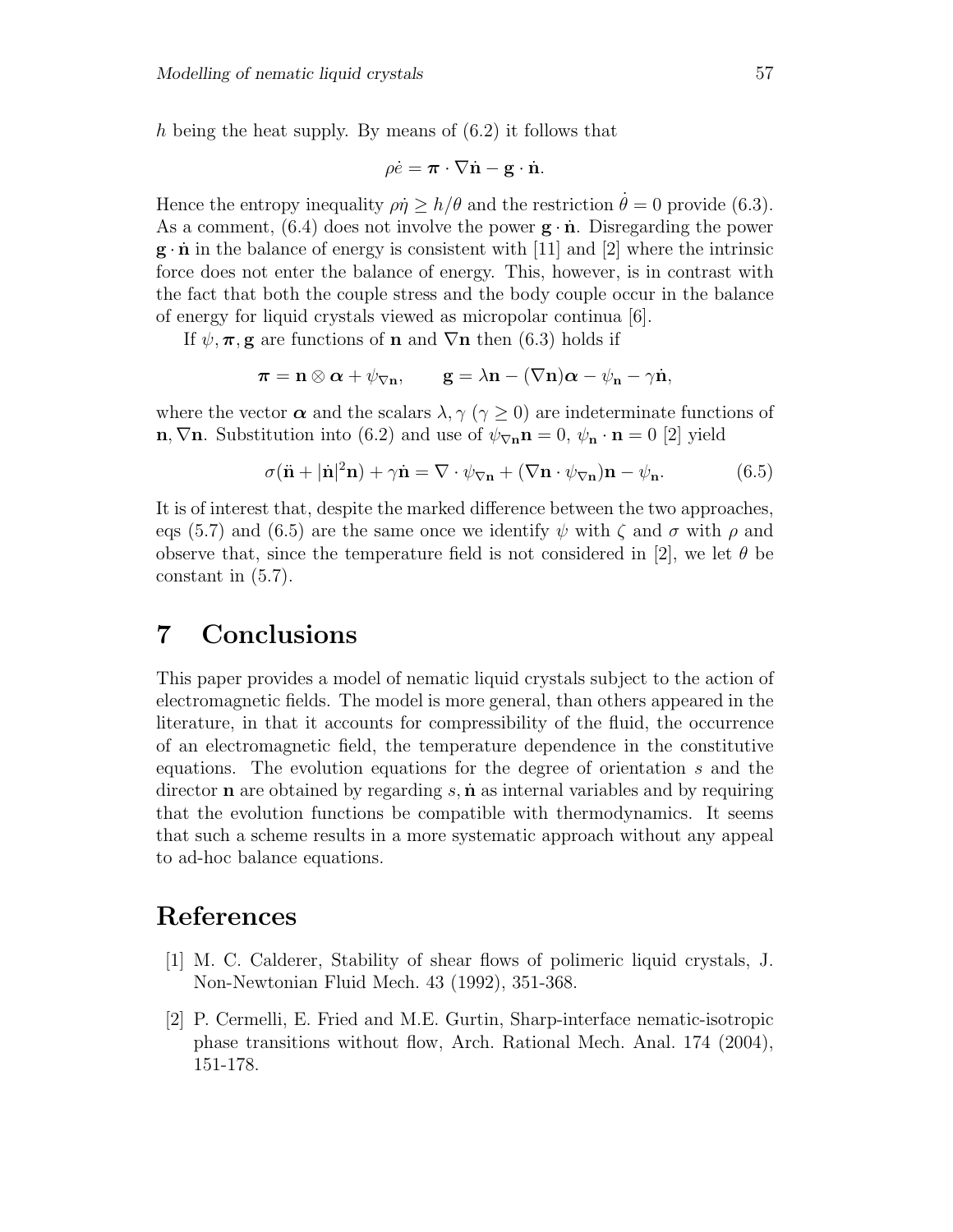h being the heat supply. By means of (6.2) it follows that

$$
\rho \dot{e} = \boldsymbol{\pi} \cdot \nabla \dot{\mathbf{n}} - \mathbf{g} \cdot \dot{\mathbf{n}}.
$$

Hence the entropy inequality  $\rho \dot{\eta} \ge h/\theta$  and the restriction  $\dot{\theta} = 0$  provide (6.3). As a comment,  $(6.4)$  does not involve the power  $\mathbf{g} \cdot \dot{\mathbf{n}}$ . Disregarding the power  $\mathbf{g} \cdot \dot{\mathbf{n}}$  in the balance of energy is consistent with [11] and [2] where the intrinsic force does not enter the balance of energy. This, however, is in contrast with the fact that both the couple stress and the body couple occur in the balance of energy for liquid crystals viewed as micropolar continua [6].

If  $\psi, \pi, \mathbf{g}$  are functions of **n** and  $\nabla$ **n** then (6.3) holds if

$$
\boldsymbol{\pi} = \mathbf{n} \otimes \boldsymbol{\alpha} + \psi_{\nabla \mathbf{n}}, \qquad \mathbf{g} = \lambda \mathbf{n} - (\nabla \mathbf{n}) \boldsymbol{\alpha} - \psi_{\mathbf{n}} - \gamma \dot{\mathbf{n}},
$$

where the vector  $\alpha$  and the scalars  $\lambda$ ,  $\gamma$  ( $\gamma \geq 0$ ) are indeterminate functions of **n**,  $\nabla$ **n**. Substitution into (6.2) and use of  $\psi_{\nabla}$ **n** = 0,  $\psi_{\mathbf{n}} \cdot \mathbf{n} = 0$  [2] yield

$$
\sigma(\ddot{\mathbf{n}} + |\dot{\mathbf{n}}|^2 \mathbf{n}) + \gamma \dot{\mathbf{n}} = \nabla \cdot \psi_{\nabla \mathbf{n}} + (\nabla \mathbf{n} \cdot \psi_{\nabla \mathbf{n}}) \mathbf{n} - \psi_{\mathbf{n}}.
$$
 (6.5)

It is of interest that, despite the marked difference between the two approaches, eqs (5.7) and (6.5) are the same once we identify  $\psi$  with  $\zeta$  and  $\sigma$  with  $\rho$  and observe that, since the temperature field is not considered in [2], we let  $\theta$  be constant in (5.7).

## **7 Conclusions**

This paper provides a model of nematic liquid crystals subject to the action of electromagnetic fields. The model is more general, than others appeared in the literature, in that it accounts for compressibility of the fluid, the occurrence of an electromagnetic field, the temperature dependence in the constitutive equations. The evolution equations for the degree of orientation s and the director **n** are obtained by regarding s, **n**˙ as internal variables and by requiring that the evolution functions be compatible with thermodynamics. It seems that such a scheme results in a more systematic approach without any appeal to ad-hoc balance equations.

## **References**

- [1] M. C. Calderer, Stability of shear flows of polimeric liquid crystals, J. Non-Newtonian Fluid Mech. 43 (1992), 351-368.
- [2] P. Cermelli, E. Fried and M.E. Gurtin, Sharp-interface nematic-isotropic phase transitions without flow, Arch. Rational Mech. Anal. 174 (2004), 151-178.